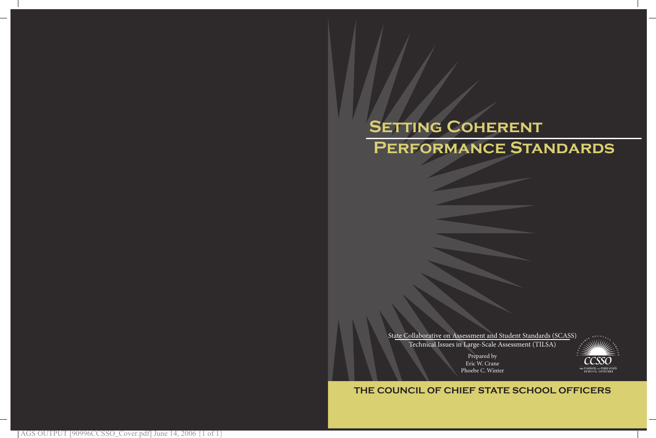# SETTING COHERENT  **Performance Standards**

State Collaborative on Assessment and Student Standards (SCASS) Technical Issues in Large-Scale Assessment (TILSA)

> Prepared by Eric W. Crane Phoebe C. Winter



## **THE COUNCIL OF CHIEF STATE SCHOOL OFFICERS**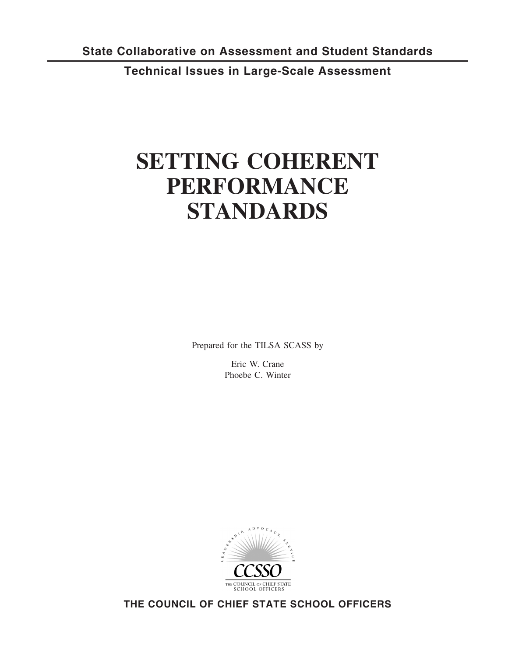**Technical Issues in Large-Scale Assessment**

## **SETTING COHERENT PERFORMANCE STANDARDS**

Prepared for the TILSA SCASS by

Eric W. Crane Phoebe C. Winter



**THE COUNCIL OF CHIEF STATE SCHOOL OFFICERS**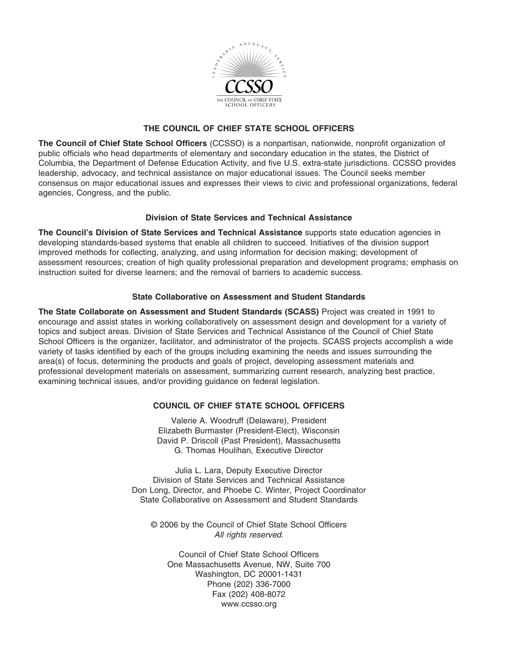

#### **THE COUNCIL OF CHIEF STATE SCHOOL OFFICERS**

**The Council of Chief State School Officers** (CCSSO) is a nonpartisan, nationwide, nonprofit organization of public officials who head departments of elementary and secondary education in the states, the District of Columbia, the Department of Defense Education Activity, and five U.S. extra-state jurisdictions. CCSSO provides leadership, advocacy, and technical assistance on major educational issues. The Council seeks member consensus on major educational issues and expresses their views to civic and professional organizations, federal agencies, Congress, and the public.

#### **Division of State Services and Technical Assistance**

**The Council's Division of State Services and Technical Assistance** supports state education agencies in developing standards-based systems that enable all children to succeed. Initiatives of the division support improved methods for collecting, analyzing, and using information for decision making; development of assessment resources; creation of high quality professional preparation and development programs; emphasis on instruction suited for diverse learners; and the removal of barriers to academic success.

#### **State Collaborative on Assessment and Student Standards**

**The State Collaborate on Assessment and Student Standards (SCASS)** Project was created in 1991 to encourage and assist states in working collaboratively on assessment design and development for a variety of topics and subject areas. Division of State Services and Technical Assistance of the Council of Chief State School Officers is the organizer, facilitator, and administrator of the projects. SCASS projects accomplish a wide variety of tasks identified by each of the groups including examining the needs and issues surrounding the area(s) of focus, determining the products and goals of project, developing assessment materials and professional development materials on assessment, summarizing current research, analyzing best practice, examining technical issues, and/or providing guidance on federal legislation.

#### **COUNCIL OF CHIEF STATE SCHOOL OFFICERS**

Valerie A. Woodruff (Delaware), President Elizabeth Burmaster (President-Elect), Wisconsin David P. Driscoll (Past President), Massachusetts G. Thomas Houlihan, Executive Director

Julia L. Lara, Deputy Executive Director Division of State Services and Technical Assistance Don Long, Director, and Phoebe C. Winter, Project Coordinator State Collaborative on Assessment and Student Standards

© 2006 by the Council of Chief State School Officers *All rights reserved.*

Council of Chief State School Officers One Massachusetts Avenue, NW, Suite 700 Washington, DC 20001-1431 Phone (202) 336-7000 Fax (202) 408-8072 www.ccsso.org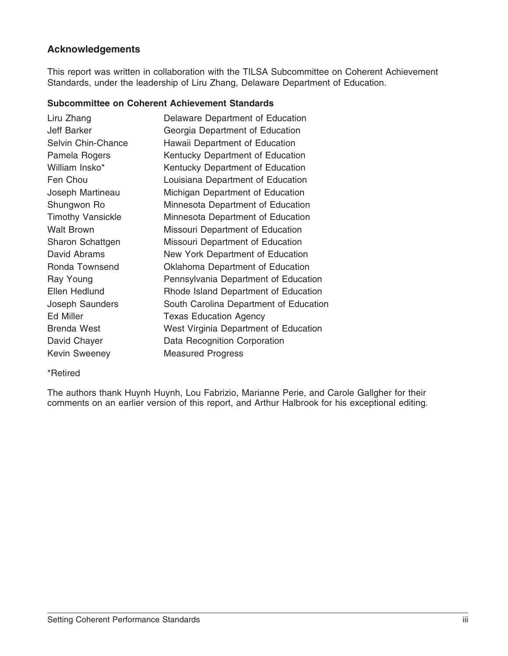## **Acknowledgements**

This report was written in collaboration with the TILSA Subcommittee on Coherent Achievement Standards, under the leadership of Liru Zhang, Delaware Department of Education.

#### **Subcommittee on Coherent Achievement Standards**

| Delaware Department of Education       |
|----------------------------------------|
|                                        |
| Georgia Department of Education        |
| Hawaii Department of Education         |
| Kentucky Department of Education       |
| Kentucky Department of Education       |
| Louisiana Department of Education      |
| Michigan Department of Education       |
| Minnesota Department of Education      |
| Minnesota Department of Education      |
| Missouri Department of Education       |
| Missouri Department of Education       |
| New York Department of Education       |
| Oklahoma Department of Education       |
| Pennsylvania Department of Education   |
| Rhode Island Department of Education   |
| South Carolina Department of Education |
| <b>Texas Education Agency</b>          |
| West Virginia Department of Education  |
| Data Recognition Corporation           |
| <b>Measured Progress</b>               |
|                                        |

\*Retired

The authors thank Huynh Huynh, Lou Fabrizio, Marianne Perie, and Carole Gallgher for their comments on an earlier version of this report, and Arthur Halbrook for his exceptional editing.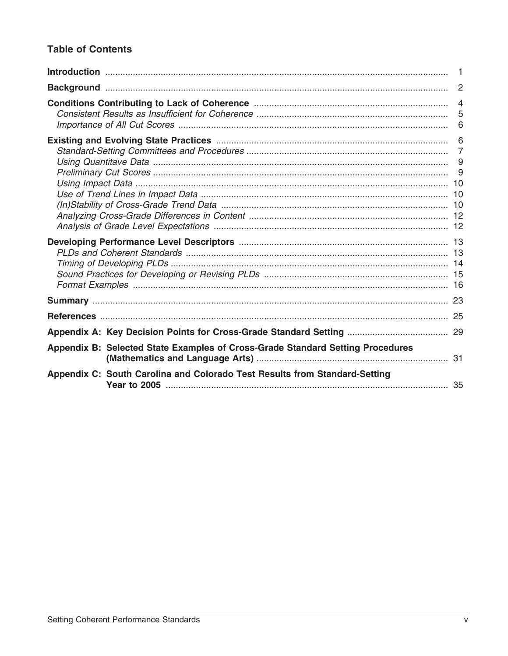## **Table of Contents**

|                                                                                | $\overline{1}$ |
|--------------------------------------------------------------------------------|----------------|
|                                                                                |                |
|                                                                                |                |
|                                                                                |                |
|                                                                                |                |
|                                                                                |                |
|                                                                                |                |
|                                                                                |                |
| Appendix B: Selected State Examples of Cross-Grade Standard Setting Procedures |                |
| Appendix C: South Carolina and Colorado Test Results from Standard-Setting     |                |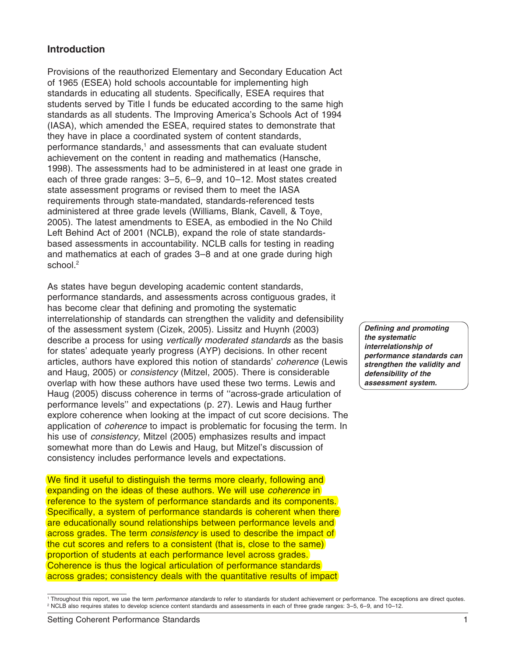#### **Introduction**

Provisions of the reauthorized Elementary and Secondary Education Act of 1965 (ESEA) hold schools accountable for implementing high standards in educating all students. Specifically, ESEA requires that students served by Title I funds be educated according to the same high standards as all students. The Improving America's Schools Act of 1994 (IASA), which amended the ESEA, required states to demonstrate that they have in place a coordinated system of content standards, performance standards,<sup>1</sup> and assessments that can evaluate student achievement on the content in reading and mathematics (Hansche, 1998). The assessments had to be administered in at least one grade in each of three grade ranges: 3–5, 6–9, and 10–12. Most states created state assessment programs or revised them to meet the IASA requirements through state-mandated, standards-referenced tests administered at three grade levels (Williams, Blank, Cavell, & Toye, 2005). The latest amendments to ESEA, as embodied in the No Child Left Behind Act of 2001 (NCLB), expand the role of state standardsbased assessments in accountability. NCLB calls for testing in reading and mathematics at each of grades 3–8 and at one grade during high school.<sup>2</sup>

As states have begun developing academic content standards, performance standards, and assessments across contiguous grades, it has become clear that defining and promoting the systematic interrelationship of standards can strengthen the validity and defensibility of the assessment system (Cizek, 2005). Lissitz and Huynh (2003) describe a process for using *vertically moderated standards* as the basis for states' adequate yearly progress (AYP) decisions. In other recent articles, authors have explored this notion of standards' *coherence* (Lewis and Haug, 2005) or *consistency* (Mitzel, 2005). There is considerable overlap with how these authors have used these two terms. Lewis and Haug (2005) discuss coherence in terms of ''across-grade articulation of performance levels'' and expectations (p. 27). Lewis and Haug further explore coherence when looking at the impact of cut score decisions. The application of *coherence* to impact is problematic for focusing the term. In his use of *consistency,* Mitzel (2005) emphasizes results and impact somewhat more than do Lewis and Haug, but Mitzel's discussion of consistency includes performance levels and expectations.

We find it useful to distinguish the terms more clearly, following and expanding on the ideas of these authors. We will use *coherence* in reference to the system of performance standards and its components. Specifically, a system of performance standards is coherent when there are educationally sound relationships between performance levels and across grades. The term *consistency* is used to describe the impact of the cut scores and refers to a consistent (that is, close to the same) proportion of students at each performance level across grades. Coherence is thus the logical articulation of performance standards across grades; consistency deals with the quantitative results of impact

*Defining and promoting the systematic interrelationship of performance standards can strengthen the validity and defensibility of the assessment system.*

<sup>1</sup> Throughout this report, we use the term *performance standards* to refer to standards for student achievement or performance. The exceptions are direct quotes. <sup>2</sup> NCLB also requires states to develop science content standards and assessments in each of three grade ranges: 3–5, 6–9, and 10–12.

Setting Coherent Performance Standards 1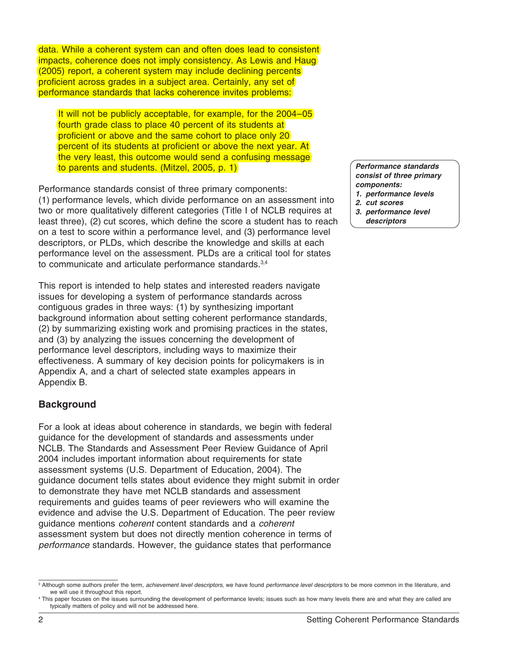data. While a coherent system can and often does lead to consistent impacts, coherence does not imply consistency. As Lewis and Haug (2005) report, a coherent system may include declining percents proficient across grades in a subject area. Certainly, any set of performance standards that lacks coherence invites problems:

It will not be publicly acceptable, for example, for the 2004–05 fourth grade class to place 40 percent of its students at proficient or above and the same cohort to place only 20 percent of its students at proficient or above the next year. At the very least, this outcome would send a confusing message to parents and students. (Mitzel, 2005, p. 1)

Performance standards consist of three primary components: (1) performance levels, which divide performance on an assessment into two or more qualitatively different categories (Title I of NCLB requires at least three), (2) cut scores, which define the score a student has to reach on a test to score within a performance level, and (3) performance level descriptors, or PLDs, which describe the knowledge and skills at each performance level on the assessment. PLDs are a critical tool for states to communicate and articulate performance standards.<sup>3,4</sup>

This report is intended to help states and interested readers navigate issues for developing a system of performance standards across contiguous grades in three ways: (1) by synthesizing important background information about setting coherent performance standards, (2) by summarizing existing work and promising practices in the states, and (3) by analyzing the issues concerning the development of performance level descriptors, including ways to maximize their effectiveness. A summary of key decision points for policymakers is in Appendix A, and a chart of selected state examples appears in Appendix B.

#### **Background**

For a look at ideas about coherence in standards, we begin with federal guidance for the development of standards and assessments under NCLB. The Standards and Assessment Peer Review Guidance of April 2004 includes important information about requirements for state assessment systems (U.S. Department of Education, 2004). The guidance document tells states about evidence they might submit in order to demonstrate they have met NCLB standards and assessment requirements and guides teams of peer reviewers who will examine the evidence and advise the U.S. Department of Education. The peer review guidance mentions *coherent* content standards and a *coherent* assessment system but does not directly mention coherence in terms of *performance* standards. However, the guidance states that performance

*Performance standards consist of three primary components:*

- *1. performance levels*
- *2. cut scores*
- *3. performance level descriptors*

<sup>3</sup> Although some authors prefer the term, *achievement level descriptors,* we have found *performance level descriptors* to be more common in the literature, and we will use it throughout this report.

<sup>4</sup> This paper focuses on the issues surrounding the development of performance levels; issues such as how many levels there are and what they are called are typically matters of policy and will not be addressed here.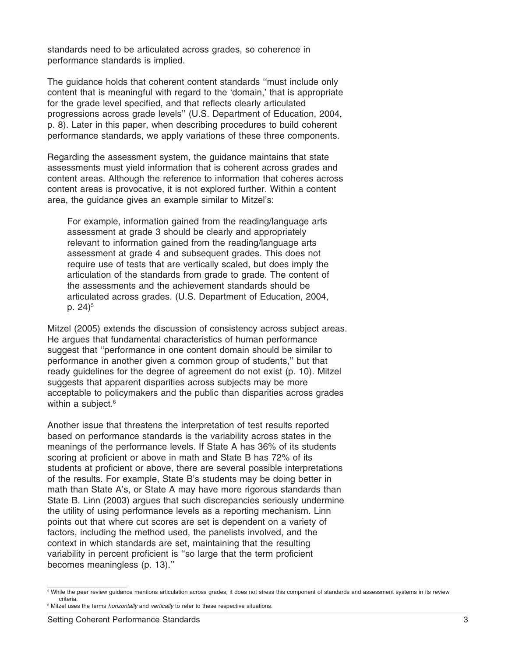standards need to be articulated across grades, so coherence in performance standards is implied.

The guidance holds that coherent content standards ''must include only content that is meaningful with regard to the 'domain,' that is appropriate for the grade level specified, and that reflects clearly articulated progressions across grade levels'' (U.S. Department of Education, 2004, p. 8). Later in this paper, when describing procedures to build coherent performance standards, we apply variations of these three components.

Regarding the assessment system, the guidance maintains that state assessments must yield information that is coherent across grades and content areas. Although the reference to information that coheres across content areas is provocative, it is not explored further. Within a content area, the guidance gives an example similar to Mitzel's:

For example, information gained from the reading/language arts assessment at grade 3 should be clearly and appropriately relevant to information gained from the reading/language arts assessment at grade 4 and subsequent grades. This does not require use of tests that are vertically scaled, but does imply the articulation of the standards from grade to grade. The content of the assessments and the achievement standards should be articulated across grades. (U.S. Department of Education, 2004, p.  $24)^5$ 

Mitzel (2005) extends the discussion of consistency across subject areas. He argues that fundamental characteristics of human performance suggest that ''performance in one content domain should be similar to performance in another given a common group of students,'' but that ready guidelines for the degree of agreement do not exist (p. 10). Mitzel suggests that apparent disparities across subjects may be more acceptable to policymakers and the public than disparities across grades within a subject.<sup>6</sup>

Another issue that threatens the interpretation of test results reported based on performance standards is the variability across states in the meanings of the performance levels. If State A has 36% of its students scoring at proficient or above in math and State B has 72% of its students at proficient or above, there are several possible interpretations of the results. For example, State B's students may be doing better in math than State A's, or State A may have more rigorous standards than State B. Linn (2003) argues that such discrepancies seriously undermine the utility of using performance levels as a reporting mechanism. Linn points out that where cut scores are set is dependent on a variety of factors, including the method used, the panelists involved, and the context in which standards are set, maintaining that the resulting variability in percent proficient is ''so large that the term proficient becomes meaningless (p. 13).''

<sup>&</sup>lt;sup>5</sup> While the peer review guidance mentions articulation across grades, it does not stress this component of standards and assessment systems in its review criteria.

<sup>6</sup> Mitzel uses the terms *horizontally* and *vertically* to refer to these respective situations.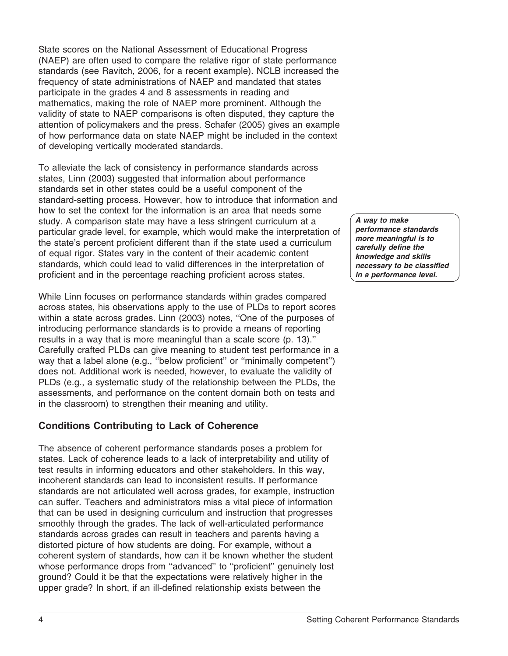State scores on the National Assessment of Educational Progress (NAEP) are often used to compare the relative rigor of state performance standards (see Ravitch, 2006, for a recent example). NCLB increased the frequency of state administrations of NAEP and mandated that states participate in the grades 4 and 8 assessments in reading and mathematics, making the role of NAEP more prominent. Although the validity of state to NAEP comparisons is often disputed, they capture the attention of policymakers and the press. Schafer (2005) gives an example of how performance data on state NAEP might be included in the context of developing vertically moderated standards.

To alleviate the lack of consistency in performance standards across states, Linn (2003) suggested that information about performance standards set in other states could be a useful component of the standard-setting process. However, how to introduce that information and how to set the context for the information is an area that needs some study. A comparison state may have a less stringent curriculum at a particular grade level, for example, which would make the interpretation of the state's percent proficient different than if the state used a curriculum of equal rigor. States vary in the content of their academic content standards, which could lead to valid differences in the interpretation of proficient and in the percentage reaching proficient across states.

While Linn focuses on performance standards within grades compared across states, his observations apply to the use of PLDs to report scores within a state across grades. Linn (2003) notes, ''One of the purposes of introducing performance standards is to provide a means of reporting results in a way that is more meaningful than a scale score (p. 13).'' Carefully crafted PLDs can give meaning to student test performance in a way that a label alone (e.g., ''below proficient'' or ''minimally competent'') does not. Additional work is needed, however, to evaluate the validity of PLDs (e.g., a systematic study of the relationship between the PLDs, the assessments, and performance on the content domain both on tests and in the classroom) to strengthen their meaning and utility.

## **Conditions Contributing to Lack of Coherence**

The absence of coherent performance standards poses a problem for states. Lack of coherence leads to a lack of interpretability and utility of test results in informing educators and other stakeholders. In this way, incoherent standards can lead to inconsistent results. If performance standards are not articulated well across grades, for example, instruction can suffer. Teachers and administrators miss a vital piece of information that can be used in designing curriculum and instruction that progresses smoothly through the grades. The lack of well-articulated performance standards across grades can result in teachers and parents having a distorted picture of how students are doing. For example, without a coherent system of standards, how can it be known whether the student whose performance drops from ''advanced'' to ''proficient'' genuinely lost ground? Could it be that the expectations were relatively higher in the upper grade? In short, if an ill-defined relationship exists between the

*A way to make performance standards more meaningful is to carefully define the knowledge and skills necessary to be classified in a performance level.*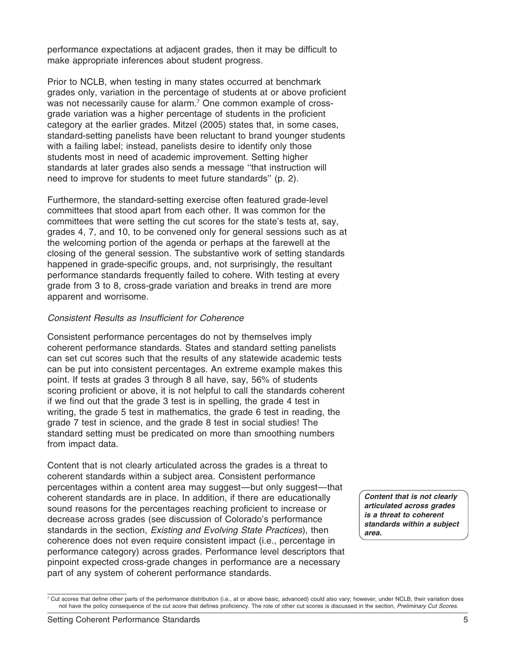performance expectations at adjacent grades, then it may be difficult to make appropriate inferences about student progress.

Prior to NCLB, when testing in many states occurred at benchmark grades only, variation in the percentage of students at or above proficient was not necessarily cause for alarm.<sup>7</sup> One common example of crossgrade variation was a higher percentage of students in the proficient category at the earlier grades. Mitzel (2005) states that, in some cases, standard-setting panelists have been reluctant to brand younger students with a failing label; instead, panelists desire to identify only those students most in need of academic improvement. Setting higher standards at later grades also sends a message ''that instruction will need to improve for students to meet future standards'' (p. 2).

Furthermore, the standard-setting exercise often featured grade-level committees that stood apart from each other. It was common for the committees that were setting the cut scores for the state's tests at, say, grades 4, 7, and 10, to be convened only for general sessions such as at the welcoming portion of the agenda or perhaps at the farewell at the closing of the general session. The substantive work of setting standards happened in grade-specific groups, and, not surprisingly, the resultant performance standards frequently failed to cohere. With testing at every grade from 3 to 8, cross-grade variation and breaks in trend are more apparent and worrisome.

#### *Consistent Results as Insufficient for Coherence*

Consistent performance percentages do not by themselves imply coherent performance standards. States and standard setting panelists can set cut scores such that the results of any statewide academic tests can be put into consistent percentages. An extreme example makes this point. If tests at grades 3 through 8 all have, say, 56% of students scoring proficient or above, it is not helpful to call the standards coherent if we find out that the grade 3 test is in spelling, the grade 4 test in writing, the grade 5 test in mathematics, the grade 6 test in reading, the grade 7 test in science, and the grade 8 test in social studies! The standard setting must be predicated on more than smoothing numbers from impact data.

Content that is not clearly articulated across the grades is a threat to coherent standards within a subject area. Consistent performance percentages within a content area may suggest—but only suggest—that coherent standards are in place. In addition, if there are educationally sound reasons for the percentages reaching proficient to increase or decrease across grades (see discussion of Colorado's performance standards in the section, *Existing and Evolving State Practices*), then coherence does not even require consistent impact (i.e., percentage in performance category) across grades. Performance level descriptors that pinpoint expected cross-grade changes in performance are a necessary part of any system of coherent performance standards.

*Content that is not clearly articulated across grades is a threat to coherent standards within a subject area.*

 $^7$  Cut scores that define other parts of the performance distribution (i.e., at or above basic, advanced) could also vary; however, under NCLB, their variation does not have the policy consequence of the cut score that defines proficiency. The role of other cut scores is discussed in the section, *Preliminary Cut Scores*.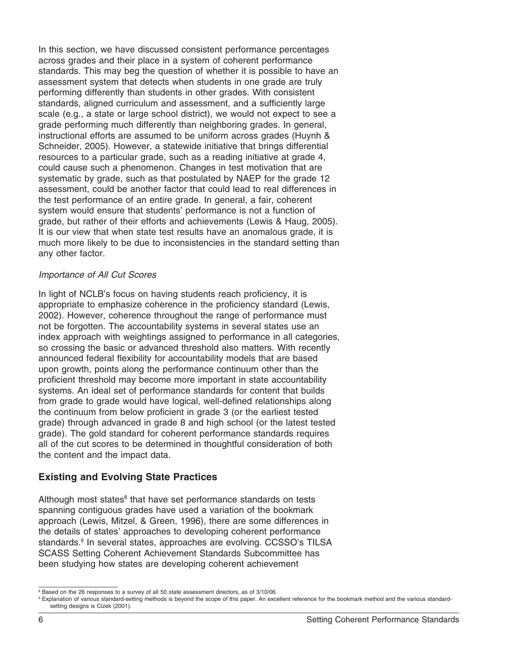In this section, we have discussed consistent performance percentages across grades and their place in a system of coherent performance standards. This may beg the question of whether it is possible to have an assessment system that detects when students in one grade are truly performing differently than students in other grades. With consistent standards, aligned curriculum and assessment, and a sufficiently large scale (e.g., a state or large school district), we would not expect to see a grade performing much differently than neighboring grades. In general, instructional efforts are assumed to be uniform across grades (Huynh & Schneider, 2005). However, a statewide initiative that brings differential resources to a particular grade, such as a reading initiative at grade 4, could cause such a phenomenon. Changes in test motivation that are systematic by grade, such as that postulated by NAEP for the grade 12 assessment, could be another factor that could lead to real differences in the test performance of an entire grade. In general, a fair, coherent system would ensure that students' performance is not a function of grade, but rather of their efforts and achievements (Lewis & Haug, 2005). It is our view that when state test results have an anomalous grade, it is much more likely to be due to inconsistencies in the standard setting than any other factor.

#### *Importance of All Cut Scores*

In light of NCLB's focus on having students reach proficiency, it is appropriate to emphasize coherence in the proficiency standard (Lewis, 2002). However, coherence throughout the range of performance must not be forgotten. The accountability systems in several states use an index approach with weightings assigned to performance in all categories, so crossing the basic or advanced threshold also matters. With recently announced federal flexibility for accountability models that are based upon growth, points along the performance continuum other than the proficient threshold may become more important in state accountability systems. An ideal set of performance standards for content that builds from grade to grade would have logical, well-defined relationships along the continuum from below proficient in grade 3 (or the earliest tested grade) through advanced in grade 8 and high school (or the latest tested grade). The gold standard for coherent performance standards requires all of the cut scores to be determined in thoughtful consideration of both the content and the impact data.

## **Existing and Evolving State Practices**

Although most states<sup>8</sup> that have set performance standards on tests spanning contiguous grades have used a variation of the bookmark approach (Lewis, Mitzel, & Green, 1996), there are some differences in the details of states' approaches to developing coherent performance standards.9 In several states, approaches are evolving. CCSSO's TILSA SCASS Setting Coherent Achievement Standards Subcommittee has been studying how states are developing coherent achievement

<sup>8</sup> Based on the 26 responses to a survey of all 50 state assessment directors, as of 3/10/06.

<sup>&</sup>lt;sup>9</sup> Explanation of various standard-setting methods is beyond the scope of this paper. An excellent reference for the bookmark method and the various standardsetting designs is Cizek (2001).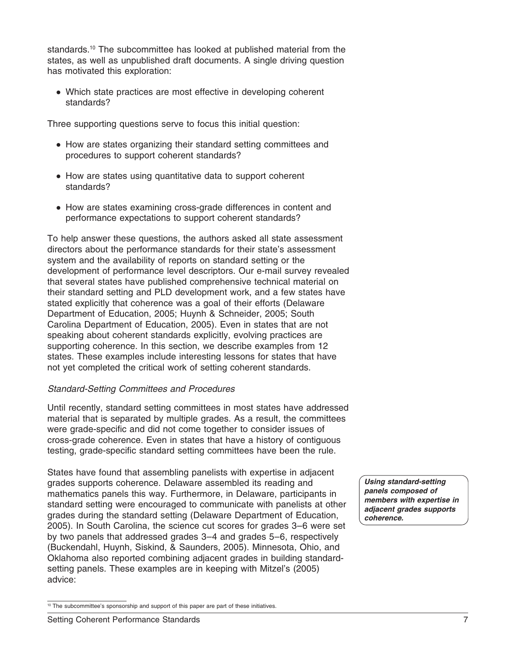standards.<sup>10</sup> The subcommittee has looked at published material from the states, as well as unpublished draft documents. A single driving question has motivated this exploration:

• Which state practices are most effective in developing coherent standards?

Three supporting questions serve to focus this initial question:

- How are states organizing their standard setting committees and procedures to support coherent standards?
- How are states using quantitative data to support coherent standards?
- How are states examining cross-grade differences in content and performance expectations to support coherent standards?

To help answer these questions, the authors asked all state assessment directors about the performance standards for their state's assessment system and the availability of reports on standard setting or the development of performance level descriptors. Our e-mail survey revealed that several states have published comprehensive technical material on their standard setting and PLD development work, and a few states have stated explicitly that coherence was a goal of their efforts (Delaware Department of Education, 2005; Huynh & Schneider, 2005; South Carolina Department of Education, 2005). Even in states that are not speaking about coherent standards explicitly, evolving practices are supporting coherence. In this section, we describe examples from 12 states. These examples include interesting lessons for states that have not yet completed the critical work of setting coherent standards.

## *Standard-Setting Committees and Procedures*

Until recently, standard setting committees in most states have addressed material that is separated by multiple grades. As a result, the committees were grade-specific and did not come together to consider issues of cross-grade coherence. Even in states that have a history of contiguous testing, grade-specific standard setting committees have been the rule.

States have found that assembling panelists with expertise in adjacent grades supports coherence. Delaware assembled its reading and mathematics panels this way. Furthermore, in Delaware, participants in standard setting were encouraged to communicate with panelists at other grades during the standard setting (Delaware Department of Education, 2005). In South Carolina, the science cut scores for grades 3–6 were set by two panels that addressed grades 3–4 and grades 5–6, respectively (Buckendahl, Huynh, Siskind, & Saunders, 2005). Minnesota, Ohio, and Oklahoma also reported combining adjacent grades in building standardsetting panels. These examples are in keeping with Mitzel's (2005) advice:

*Using standard-setting panels composed of members with expertise in adjacent grades supports coherence.*

<sup>&</sup>lt;sup>10</sup> The subcommittee's sponsorship and support of this paper are part of these initiatives.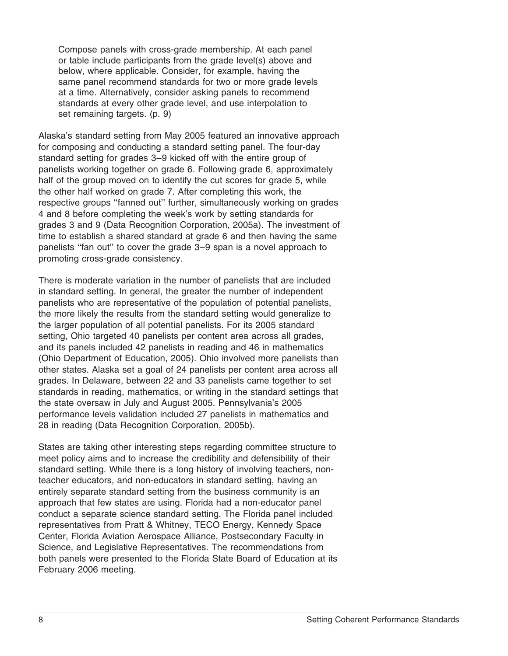Compose panels with cross-grade membership. At each panel or table include participants from the grade level(s) above and below, where applicable. Consider, for example, having the same panel recommend standards for two or more grade levels at a time. Alternatively, consider asking panels to recommend standards at every other grade level, and use interpolation to set remaining targets. (p. 9)

Alaska's standard setting from May 2005 featured an innovative approach for composing and conducting a standard setting panel. The four-day standard setting for grades 3–9 kicked off with the entire group of panelists working together on grade 6. Following grade 6, approximately half of the group moved on to identify the cut scores for grade 5, while the other half worked on grade 7. After completing this work, the respective groups ''fanned out'' further, simultaneously working on grades 4 and 8 before completing the week's work by setting standards for grades 3 and 9 (Data Recognition Corporation, 2005a). The investment of time to establish a shared standard at grade 6 and then having the same panelists ''fan out'' to cover the grade 3–9 span is a novel approach to promoting cross-grade consistency.

There is moderate variation in the number of panelists that are included in standard setting. In general, the greater the number of independent panelists who are representative of the population of potential panelists, the more likely the results from the standard setting would generalize to the larger population of all potential panelists. For its 2005 standard setting. Ohio targeted 40 panelists per content area across all grades, and its panels included 42 panelists in reading and 46 in mathematics (Ohio Department of Education, 2005). Ohio involved more panelists than other states. Alaska set a goal of 24 panelists per content area across all grades. In Delaware, between 22 and 33 panelists came together to set standards in reading, mathematics, or writing in the standard settings that the state oversaw in July and August 2005. Pennsylvania's 2005 performance levels validation included 27 panelists in mathematics and 28 in reading (Data Recognition Corporation, 2005b).

States are taking other interesting steps regarding committee structure to meet policy aims and to increase the credibility and defensibility of their standard setting. While there is a long history of involving teachers, nonteacher educators, and non-educators in standard setting, having an entirely separate standard setting from the business community is an approach that few states are using. Florida had a non-educator panel conduct a separate science standard setting. The Florida panel included representatives from Pratt & Whitney, TECO Energy, Kennedy Space Center, Florida Aviation Aerospace Alliance, Postsecondary Faculty in Science, and Legislative Representatives. The recommendations from both panels were presented to the Florida State Board of Education at its February 2006 meeting.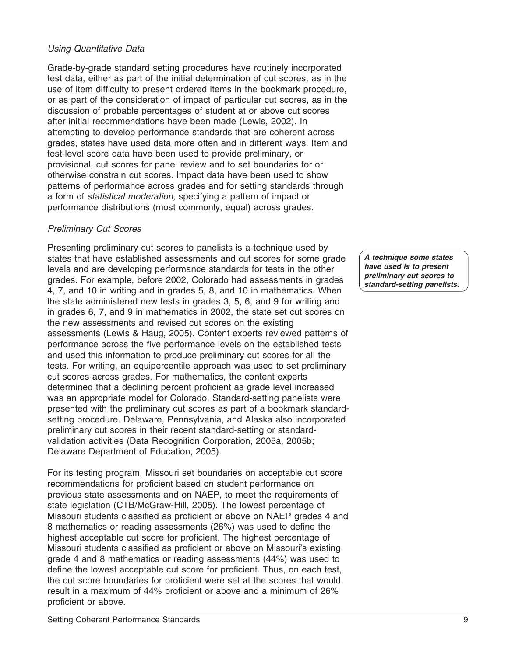## *Using Quantitative Data*

Grade-by-grade standard setting procedures have routinely incorporated test data, either as part of the initial determination of cut scores, as in the use of item difficulty to present ordered items in the bookmark procedure, or as part of the consideration of impact of particular cut scores, as in the discussion of probable percentages of student at or above cut scores after initial recommendations have been made (Lewis, 2002). In attempting to develop performance standards that are coherent across grades, states have used data more often and in different ways. Item and test-level score data have been used to provide preliminary, or provisional, cut scores for panel review and to set boundaries for or otherwise constrain cut scores. Impact data have been used to show patterns of performance across grades and for setting standards through a form of *statistical moderation,* specifying a pattern of impact or performance distributions (most commonly, equal) across grades.

#### *Preliminary Cut Scores*

Presenting preliminary cut scores to panelists is a technique used by states that have established assessments and cut scores for some grade levels and are developing performance standards for tests in the other grades. For example, before 2002, Colorado had assessments in grades 4, 7, and 10 in writing and in grades 5, 8, and 10 in mathematics. When the state administered new tests in grades 3, 5, 6, and 9 for writing and in grades 6, 7, and 9 in mathematics in 2002, the state set cut scores on the new assessments and revised cut scores on the existing assessments (Lewis & Haug, 2005). Content experts reviewed patterns of performance across the five performance levels on the established tests and used this information to produce preliminary cut scores for all the tests. For writing, an equipercentile approach was used to set preliminary cut scores across grades. For mathematics, the content experts determined that a declining percent proficient as grade level increased was an appropriate model for Colorado. Standard-setting panelists were presented with the preliminary cut scores as part of a bookmark standardsetting procedure. Delaware, Pennsylvania, and Alaska also incorporated preliminary cut scores in their recent standard-setting or standardvalidation activities (Data Recognition Corporation, 2005a, 2005b; Delaware Department of Education, 2005).

For its testing program, Missouri set boundaries on acceptable cut score recommendations for proficient based on student performance on previous state assessments and on NAEP, to meet the requirements of state legislation (CTB/McGraw-Hill, 2005). The lowest percentage of Missouri students classified as proficient or above on NAEP grades 4 and 8 mathematics or reading assessments (26%) was used to define the highest acceptable cut score for proficient. The highest percentage of Missouri students classified as proficient or above on Missouri's existing grade 4 and 8 mathematics or reading assessments (44%) was used to define the lowest acceptable cut score for proficient. Thus, on each test, the cut score boundaries for proficient were set at the scores that would result in a maximum of 44% proficient or above and a minimum of 26% proficient or above.

*A technique some states have used is to present preliminary cut scores to standard-setting panelists.*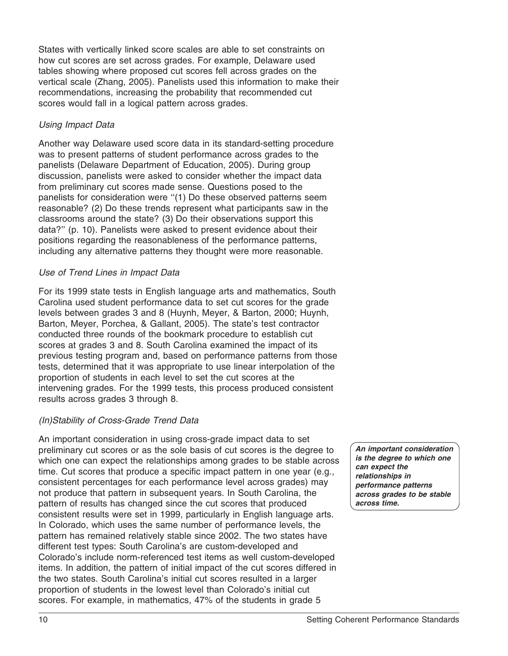States with vertically linked score scales are able to set constraints on how cut scores are set across grades. For example, Delaware used tables showing where proposed cut scores fell across grades on the vertical scale (Zhang, 2005). Panelists used this information to make their recommendations, increasing the probability that recommended cut scores would fall in a logical pattern across grades.

## *Using Impact Data*

Another way Delaware used score data in its standard-setting procedure was to present patterns of student performance across grades to the panelists (Delaware Department of Education, 2005). During group discussion, panelists were asked to consider whether the impact data from preliminary cut scores made sense. Questions posed to the panelists for consideration were ''(1) Do these observed patterns seem reasonable? (2) Do these trends represent what participants saw in the classrooms around the state? (3) Do their observations support this data?'' (p. 10). Panelists were asked to present evidence about their positions regarding the reasonableness of the performance patterns, including any alternative patterns they thought were more reasonable.

## *Use of Trend Lines in Impact Data*

For its 1999 state tests in English language arts and mathematics, South Carolina used student performance data to set cut scores for the grade levels between grades 3 and 8 (Huynh, Meyer, & Barton, 2000; Huynh, Barton, Meyer, Porchea, & Gallant, 2005). The state's test contractor conducted three rounds of the bookmark procedure to establish cut scores at grades 3 and 8. South Carolina examined the impact of its previous testing program and, based on performance patterns from those tests, determined that it was appropriate to use linear interpolation of the proportion of students in each level to set the cut scores at the intervening grades. For the 1999 tests, this process produced consistent results across grades 3 through 8.

## *(In)Stability of Cross-Grade Trend Data*

An important consideration in using cross-grade impact data to set preliminary cut scores or as the sole basis of cut scores is the degree to which one can expect the relationships among grades to be stable across time. Cut scores that produce a specific impact pattern in one year (e.g., consistent percentages for each performance level across grades) may not produce that pattern in subsequent years. In South Carolina, the pattern of results has changed since the cut scores that produced consistent results were set in 1999, particularly in English language arts. In Colorado, which uses the same number of performance levels, the pattern has remained relatively stable since 2002. The two states have different test types: South Carolina's are custom-developed and Colorado's include norm-referenced test items as well custom-developed items. In addition, the pattern of initial impact of the cut scores differed in the two states. South Carolina's initial cut scores resulted in a larger proportion of students in the lowest level than Colorado's initial cut scores. For example, in mathematics, 47% of the students in grade 5

*An important consideration is the degree to which one can expect the relationships in performance patterns across grades to be stable across time.*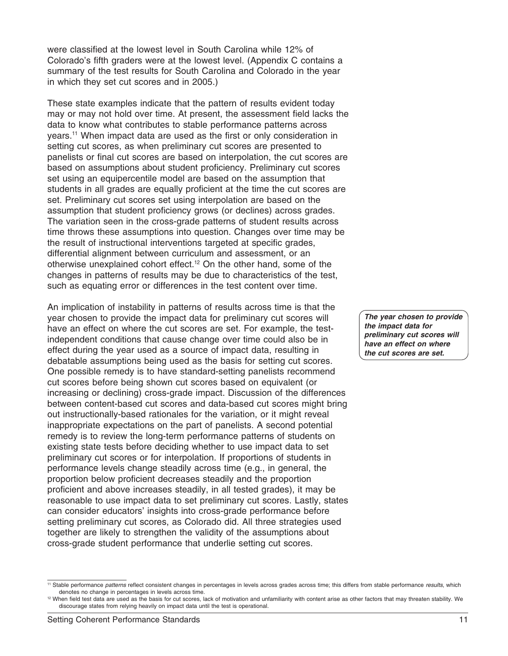were classified at the lowest level in South Carolina while 12% of Colorado's fifth graders were at the lowest level. (Appendix C contains a summary of the test results for South Carolina and Colorado in the year in which they set cut scores and in 2005.)

These state examples indicate that the pattern of results evident today may or may not hold over time. At present, the assessment field lacks the data to know what contributes to stable performance patterns across years.11 When impact data are used as the first or only consideration in setting cut scores, as when preliminary cut scores are presented to panelists or final cut scores are based on interpolation, the cut scores are based on assumptions about student proficiency. Preliminary cut scores set using an equipercentile model are based on the assumption that students in all grades are equally proficient at the time the cut scores are set. Preliminary cut scores set using interpolation are based on the assumption that student proficiency grows (or declines) across grades. The variation seen in the cross-grade patterns of student results across time throws these assumptions into question. Changes over time may be the result of instructional interventions targeted at specific grades, differential alignment between curriculum and assessment, or an otherwise unexplained cohort effect.12 On the other hand, some of the changes in patterns of results may be due to characteristics of the test, such as equating error or differences in the test content over time.

An implication of instability in patterns of results across time is that the year chosen to provide the impact data for preliminary cut scores will have an effect on where the cut scores are set. For example, the testindependent conditions that cause change over time could also be in effect during the year used as a source of impact data, resulting in debatable assumptions being used as the basis for setting cut scores. One possible remedy is to have standard-setting panelists recommend cut scores before being shown cut scores based on equivalent (or increasing or declining) cross-grade impact. Discussion of the differences between content-based cut scores and data-based cut scores might bring out instructionally-based rationales for the variation, or it might reveal inappropriate expectations on the part of panelists. A second potential remedy is to review the long-term performance patterns of students on existing state tests before deciding whether to use impact data to set preliminary cut scores or for interpolation. If proportions of students in performance levels change steadily across time (e.g., in general, the proportion below proficient decreases steadily and the proportion proficient and above increases steadily, in all tested grades), it may be reasonable to use impact data to set preliminary cut scores. Lastly, states can consider educators' insights into cross-grade performance before setting preliminary cut scores, as Colorado did. All three strategies used together are likely to strengthen the validity of the assumptions about cross-grade student performance that underlie setting cut scores.

*The year chosen to provide the impact data for preliminary cut scores will have an effect on where the cut scores are set.*

<sup>11</sup> Stable performance *patterns* reflect consistent changes in percentages in levels across grades across time; this differs from stable performance *results*, which denotes no change in percentages in levels across time.

<sup>&</sup>lt;sup>12</sup> When field test data are used as the basis for cut scores, lack of motivation and unfamiliarity with content arise as other factors that may threaten stability. We discourage states from relying heavily on impact data until the test is operational.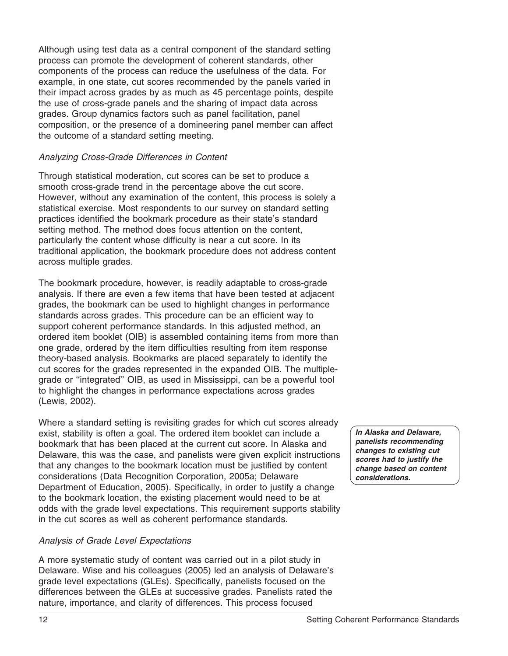Although using test data as a central component of the standard setting process can promote the development of coherent standards, other components of the process can reduce the usefulness of the data. For example, in one state, cut scores recommended by the panels varied in their impact across grades by as much as 45 percentage points, despite the use of cross-grade panels and the sharing of impact data across grades. Group dynamics factors such as panel facilitation, panel composition, or the presence of a domineering panel member can affect the outcome of a standard setting meeting.

## *Analyzing Cross-Grade Differences in Content*

Through statistical moderation, cut scores can be set to produce a smooth cross-grade trend in the percentage above the cut score. However, without any examination of the content, this process is solely a statistical exercise. Most respondents to our survey on standard setting practices identified the bookmark procedure as their state's standard setting method. The method does focus attention on the content, particularly the content whose difficulty is near a cut score. In its traditional application, the bookmark procedure does not address content across multiple grades.

The bookmark procedure, however, is readily adaptable to cross-grade analysis. If there are even a few items that have been tested at adjacent grades, the bookmark can be used to highlight changes in performance standards across grades. This procedure can be an efficient way to support coherent performance standards. In this adjusted method, an ordered item booklet (OIB) is assembled containing items from more than one grade, ordered by the item difficulties resulting from item response theory-based analysis. Bookmarks are placed separately to identify the cut scores for the grades represented in the expanded OIB. The multiplegrade or ''integrated'' OIB, as used in Mississippi, can be a powerful tool to highlight the changes in performance expectations across grades (Lewis, 2002).

Where a standard setting is revisiting grades for which cut scores already exist, stability is often a goal. The ordered item booklet can include a bookmark that has been placed at the current cut score. In Alaska and Delaware, this was the case, and panelists were given explicit instructions that any changes to the bookmark location must be justified by content considerations (Data Recognition Corporation, 2005a; Delaware Department of Education, 2005). Specifically, in order to justify a change to the bookmark location, the existing placement would need to be at odds with the grade level expectations. This requirement supports stability in the cut scores as well as coherent performance standards.

## *Analysis of Grade Level Expectations*

A more systematic study of content was carried out in a pilot study in Delaware. Wise and his colleagues (2005) led an analysis of Delaware's grade level expectations (GLEs). Specifically, panelists focused on the differences between the GLEs at successive grades. Panelists rated the nature, importance, and clarity of differences. This process focused

*In Alaska and Delaware, panelists recommending changes to existing cut scores had to justify the change based on content considerations.*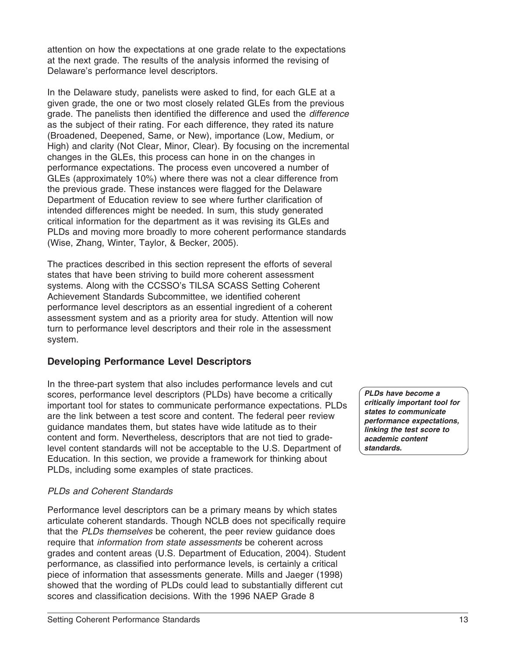attention on how the expectations at one grade relate to the expectations at the next grade. The results of the analysis informed the revising of Delaware's performance level descriptors.

In the Delaware study, panelists were asked to find, for each GLE at a given grade, the one or two most closely related GLEs from the previous grade. The panelists then identified the difference and used the *difference* as the subject of their rating. For each difference, they rated its nature (Broadened, Deepened, Same, or New), importance (Low, Medium, or High) and clarity (Not Clear, Minor, Clear). By focusing on the incremental changes in the GLEs, this process can hone in on the changes in performance expectations. The process even uncovered a number of GLEs (approximately 10%) where there was not a clear difference from the previous grade. These instances were flagged for the Delaware Department of Education review to see where further clarification of intended differences might be needed. In sum, this study generated critical information for the department as it was revising its GLEs and PLDs and moving more broadly to more coherent performance standards (Wise, Zhang, Winter, Taylor, & Becker, 2005).

The practices described in this section represent the efforts of several states that have been striving to build more coherent assessment systems. Along with the CCSSO's TILSA SCASS Setting Coherent Achievement Standards Subcommittee, we identified coherent performance level descriptors as an essential ingredient of a coherent assessment system and as a priority area for study. Attention will now turn to performance level descriptors and their role in the assessment system.

## **Developing Performance Level Descriptors**

In the three-part system that also includes performance levels and cut scores, performance level descriptors (PLDs) have become a critically important tool for states to communicate performance expectations. PLDs are the link between a test score and content. The federal peer review guidance mandates them, but states have wide latitude as to their content and form. Nevertheless, descriptors that are not tied to gradelevel content standards will not be acceptable to the U.S. Department of Education. In this section, we provide a framework for thinking about PLDs, including some examples of state practices.

## *PLDs and Coherent Standards*

Performance level descriptors can be a primary means by which states articulate coherent standards. Though NCLB does not specifically require that the *PLDs themselves* be coherent, the peer review guidance does require that *information from state assessments* be coherent across grades and content areas (U.S. Department of Education, 2004). Student performance, as classified into performance levels, is certainly a critical piece of information that assessments generate. Mills and Jaeger (1998) showed that the wording of PLDs could lead to substantially different cut scores and classification decisions. With the 1996 NAEP Grade 8

*PLDs have become a critically important tool for states to communicate performance expectations, linking the test score to academic content standards.*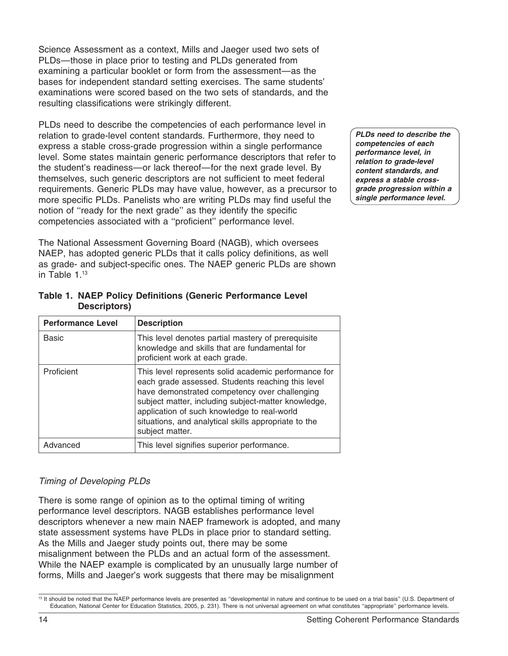Science Assessment as a context, Mills and Jaeger used two sets of PLDs—those in place prior to testing and PLDs generated from examining a particular booklet or form from the assessment—as the bases for independent standard setting exercises. The same students' examinations were scored based on the two sets of standards, and the resulting classifications were strikingly different.

PLDs need to describe the competencies of each performance level in relation to grade-level content standards. Furthermore, they need to express a stable cross-grade progression within a single performance level. Some states maintain generic performance descriptors that refer to the student's readiness—or lack thereof—for the next grade level. By themselves, such generic descriptors are not sufficient to meet federal requirements. Generic PLDs may have value, however, as a precursor to more specific PLDs. Panelists who are writing PLDs may find useful the notion of ''ready for the next grade'' as they identify the specific competencies associated with a ''proficient'' performance level.

The National Assessment Governing Board (NAGB), which oversees NAEP, has adopted generic PLDs that it calls policy definitions, as well as grade- and subject-specific ones. The NAEP generic PLDs are shown in Table 1.13

| <b>Performance Level</b> | <b>Description</b>                                                                                                                                                                                                                                                                                                                          |
|--------------------------|---------------------------------------------------------------------------------------------------------------------------------------------------------------------------------------------------------------------------------------------------------------------------------------------------------------------------------------------|
| <b>Basic</b>             | This level denotes partial mastery of prerequisite<br>knowledge and skills that are fundamental for<br>proficient work at each grade.                                                                                                                                                                                                       |
| Proficient               | This level represents solid academic performance for<br>each grade assessed. Students reaching this level<br>have demonstrated competency over challenging<br>subject matter, including subject-matter knowledge,<br>application of such knowledge to real-world<br>situations, and analytical skills appropriate to the<br>subject matter. |
| Advanced                 | This level signifies superior performance.                                                                                                                                                                                                                                                                                                  |

**Table 1. NAEP Policy Definitions (Generic Performance Level Descriptors)**

## *Timing of Developing PLDs*

There is some range of opinion as to the optimal timing of writing performance level descriptors. NAGB establishes performance level descriptors whenever a new main NAEP framework is adopted, and many state assessment systems have PLDs in place prior to standard setting. As the Mills and Jaeger study points out, there may be some misalignment between the PLDs and an actual form of the assessment. While the NAEP example is complicated by an unusually large number of forms, Mills and Jaeger's work suggests that there may be misalignment

*PLDs need to describe the competencies of each performance level, in relation to grade-level content standards, and express a stable crossgrade progression within a single performance level.*

<sup>&</sup>lt;sup>13</sup> It should be noted that the NAEP performance levels are presented as "developmental in nature and continue to be used on a trial basis" (U.S. Department of Education, National Center for Education Statistics, 2005, p. 231). There is not universal agreement on what constitutes ''appropriate'' performance levels.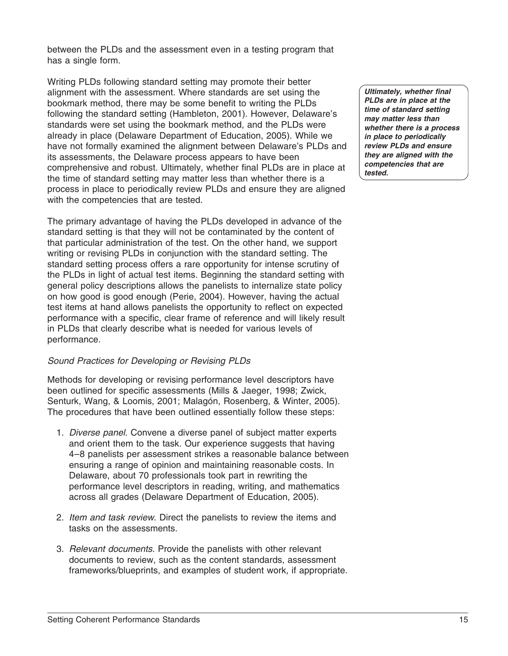between the PLDs and the assessment even in a testing program that has a single form.

Writing PLDs following standard setting may promote their better alignment with the assessment. Where standards are set using the bookmark method, there may be some benefit to writing the PLDs following the standard setting (Hambleton, 2001). However, Delaware's standards were set using the bookmark method, and the PLDs were already in place (Delaware Department of Education, 2005). While we have not formally examined the alignment between Delaware's PLDs and its assessments, the Delaware process appears to have been comprehensive and robust. Ultimately, whether final PLDs are in place at the time of standard setting may matter less than whether there is a process in place to periodically review PLDs and ensure they are aligned with the competencies that are tested.

The primary advantage of having the PLDs developed in advance of the standard setting is that they will not be contaminated by the content of that particular administration of the test. On the other hand, we support writing or revising PLDs in conjunction with the standard setting. The standard setting process offers a rare opportunity for intense scrutiny of the PLDs in light of actual test items. Beginning the standard setting with general policy descriptions allows the panelists to internalize state policy on how good is good enough (Perie, 2004). However, having the actual test items at hand allows panelists the opportunity to reflect on expected performance with a specific, clear frame of reference and will likely result in PLDs that clearly describe what is needed for various levels of performance.

#### *Sound Practices for Developing or Revising PLDs*

Methods for developing or revising performance level descriptors have been outlined for specific assessments (Mills & Jaeger, 1998; Zwick, Senturk, Wang, & Loomis, 2001; Malagón, Rosenberg, & Winter, 2005). The procedures that have been outlined essentially follow these steps:

- 1. *Diverse panel*. Convene a diverse panel of subject matter experts and orient them to the task. Our experience suggests that having 4–8 panelists per assessment strikes a reasonable balance between ensuring a range of opinion and maintaining reasonable costs. In Delaware, about 70 professionals took part in rewriting the performance level descriptors in reading, writing, and mathematics across all grades (Delaware Department of Education, 2005).
- 2. *Item and task review*. Direct the panelists to review the items and tasks on the assessments.
- 3. *Relevant documents*. Provide the panelists with other relevant documents to review, such as the content standards, assessment frameworks/blueprints, and examples of student work, if appropriate.

*Ultimately, whether final PLDs are in place at the time of standard setting may matter less than whether there is a process in place to periodically review PLDs and ensure they are aligned with the competencies that are tested.*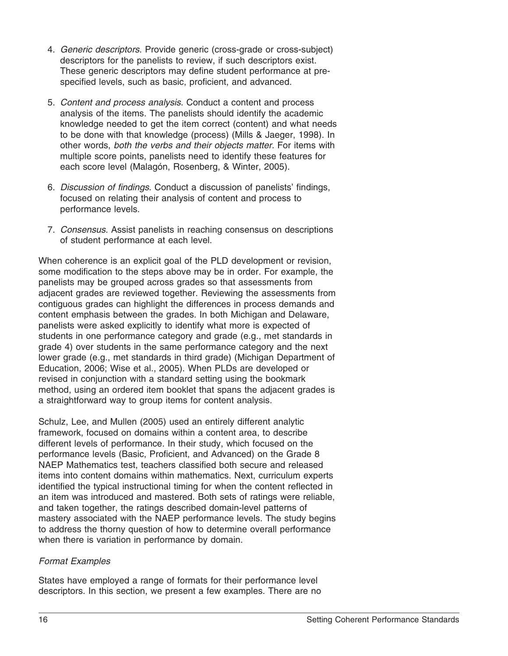- 4. *Generic descriptors*. Provide generic (cross-grade or cross-subject) descriptors for the panelists to review, if such descriptors exist. These generic descriptors may define student performance at prespecified levels, such as basic, proficient, and advanced.
- 5. *Content and process analysis*. Conduct a content and process analysis of the items. The panelists should identify the academic knowledge needed to get the item correct (content) and what needs to be done with that knowledge (process) (Mills & Jaeger, 1998). In other words, *both the verbs and their objects matter.* For items with multiple score points, panelists need to identify these features for each score level (Malagón, Rosenberg, & Winter, 2005).
- 6. *Discussion of findings*. Conduct a discussion of panelists' findings, focused on relating their analysis of content and process to performance levels.
- 7. *Consensus*. Assist panelists in reaching consensus on descriptions of student performance at each level.

When coherence is an explicit goal of the PLD development or revision, some modification to the steps above may be in order. For example, the panelists may be grouped across grades so that assessments from adjacent grades are reviewed together. Reviewing the assessments from contiguous grades can highlight the differences in process demands and content emphasis between the grades. In both Michigan and Delaware, panelists were asked explicitly to identify what more is expected of students in one performance category and grade (e.g., met standards in grade 4) over students in the same performance category and the next lower grade (e.g., met standards in third grade) (Michigan Department of Education, 2006; Wise et al., 2005). When PLDs are developed or revised in conjunction with a standard setting using the bookmark method, using an ordered item booklet that spans the adjacent grades is a straightforward way to group items for content analysis.

Schulz, Lee, and Mullen (2005) used an entirely different analytic framework, focused on domains within a content area, to describe different levels of performance. In their study, which focused on the performance levels (Basic, Proficient, and Advanced) on the Grade 8 NAEP Mathematics test, teachers classified both secure and released items into content domains within mathematics. Next, curriculum experts identified the typical instructional timing for when the content reflected in an item was introduced and mastered. Both sets of ratings were reliable, and taken together, the ratings described domain-level patterns of mastery associated with the NAEP performance levels. The study begins to address the thorny question of how to determine overall performance when there is variation in performance by domain.

## *Format Examples*

States have employed a range of formats for their performance level descriptors. In this section, we present a few examples. There are no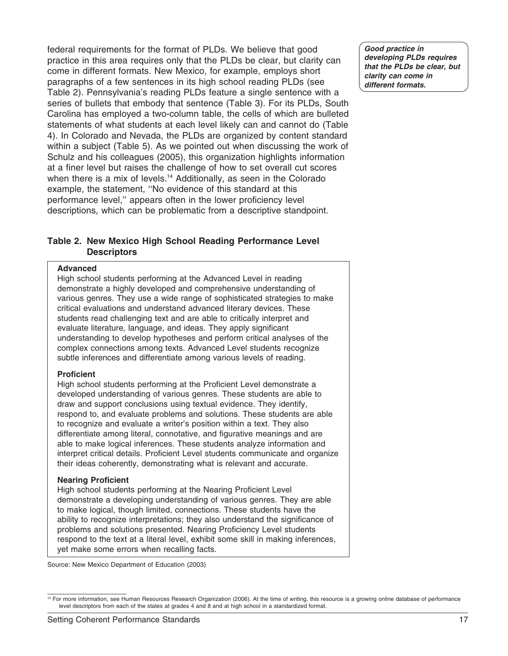federal requirements for the format of PLDs. We believe that good practice in this area requires only that the PLDs be clear, but clarity can come in different formats. New Mexico, for example, employs short paragraphs of a few sentences in its high school reading PLDs (see Table 2). Pennsylvania's reading PLDs feature a single sentence with a series of bullets that embody that sentence (Table 3). For its PLDs, South Carolina has employed a two-column table, the cells of which are bulleted statements of what students at each level likely can and cannot do (Table 4). In Colorado and Nevada, the PLDs are organized by content standard within a subject (Table 5). As we pointed out when discussing the work of Schulz and his colleagues (2005), this organization highlights information at a finer level but raises the challenge of how to set overall cut scores when there is a mix of levels.<sup>14</sup> Additionally, as seen in the Colorado example, the statement, ''No evidence of this standard at this performance level,'' appears often in the lower proficiency level descriptions, which can be problematic from a descriptive standpoint.

#### **Table 2. New Mexico High School Reading Performance Level Descriptors**

#### **Advanced**

High school students performing at the Advanced Level in reading demonstrate a highly developed and comprehensive understanding of various genres. They use a wide range of sophisticated strategies to make critical evaluations and understand advanced literary devices. These students read challenging text and are able to critically interpret and evaluate literature, language, and ideas. They apply significant understanding to develop hypotheses and perform critical analyses of the complex connections among texts. Advanced Level students recognize subtle inferences and differentiate among various levels of reading.

#### **Proficient**

High school students performing at the Proficient Level demonstrate a developed understanding of various genres. These students are able to draw and support conclusions using textual evidence. They identify, respond to, and evaluate problems and solutions. These students are able to recognize and evaluate a writer's position within a text. They also differentiate among literal, connotative, and figurative meanings and are able to make logical inferences. These students analyze information and interpret critical details. Proficient Level students communicate and organize their ideas coherently, demonstrating what is relevant and accurate.

#### **Nearing Proficient**

High school students performing at the Nearing Proficient Level demonstrate a developing understanding of various genres. They are able to make logical, though limited, connections. These students have the ability to recognize interpretations; they also understand the significance of problems and solutions presented. Nearing Proficiency Level students respond to the text at a literal level, exhibit some skill in making inferences, yet make some errors when recalling facts.

Source: New Mexico Department of Education (2003)

*Good practice in developing PLDs requires that the PLDs be clear, but clarity can come in different formats.*

<sup>&</sup>lt;sup>14</sup> For more information, see Human Resources Research Organization (2006). At the time of writing, this resource is a growing online database of performance level descriptors from each of the states at grades 4 and 8 and at high school in a standardized format.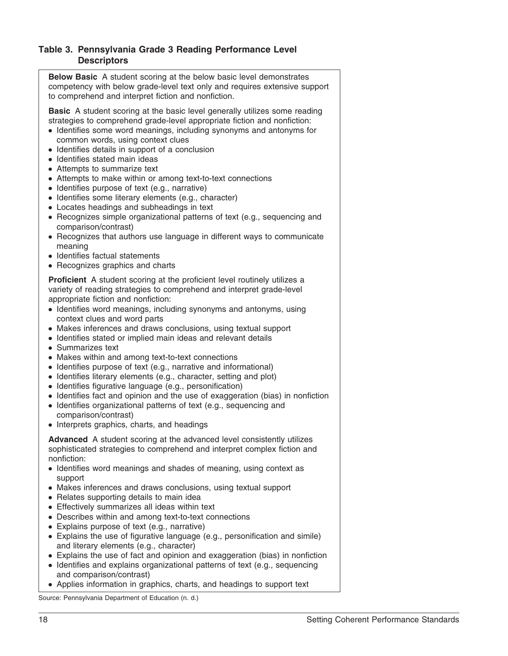#### **Table 3. Pennsylvania Grade 3 Reading Performance Level Descriptors**

| <b>Below Basic</b> A student scoring at the below basic level demonstrates<br>competency with below grade-level text only and requires extensive support<br>to comprehend and interpret fiction and nonfiction.                                                                                                                                                                                                                                                                                                                                                                                                                                                                                                                                                                                                                                                                           |
|-------------------------------------------------------------------------------------------------------------------------------------------------------------------------------------------------------------------------------------------------------------------------------------------------------------------------------------------------------------------------------------------------------------------------------------------------------------------------------------------------------------------------------------------------------------------------------------------------------------------------------------------------------------------------------------------------------------------------------------------------------------------------------------------------------------------------------------------------------------------------------------------|
| <b>Basic</b> A student scoring at the basic level generally utilizes some reading<br>strategies to comprehend grade-level appropriate fiction and nonfiction:<br>• Identifies some word meanings, including synonyms and antonyms for<br>common words, using context clues<br>• Identifies details in support of a conclusion<br>· Identifies stated main ideas<br>• Attempts to summarize text<br>• Attempts to make within or among text-to-text connections<br>· Identifies purpose of text (e.g., narrative)<br>· Identifies some literary elements (e.g., character)<br>• Locates headings and subheadings in text<br>• Recognizes simple organizational patterns of text (e.g., sequencing and<br>comparison/contrast)<br>• Recognizes that authors use language in different ways to communicate<br>meaning<br>· Identifies factual statements<br>• Recognizes graphics and charts |
| Proficient A student scoring at the proficient level routinely utilizes a<br>variety of reading strategies to comprehend and interpret grade-level<br>appropriate fiction and nonfiction:<br>• Identifies word meanings, including synonyms and antonyms, using<br>context clues and word parts<br>• Makes inferences and draws conclusions, using textual support<br>• Identifies stated or implied main ideas and relevant details<br>• Summarizes text<br>• Makes within and among text-to-text connections                                                                                                                                                                                                                                                                                                                                                                            |

- Makes within and among text-to-text connections
- Identifies purpose of text (e.g., narrative and informational) ● Identifies literary elements (e.g., character, setting and plot)
- Identifies figurative language (e.g., personification)
- 
- Identifies fact and opinion and the use of exaggeration (bias) in nonfiction
- Identifies organizational patterns of text (e.g., sequencing and comparison/contrast)
- Interprets graphics, charts, and headings

**Advanced** A student scoring at the advanced level consistently utilizes sophisticated strategies to comprehend and interpret complex fiction and nonfiction:

- Identifies word meanings and shades of meaning, using context as support
- Makes inferences and draws conclusions, using textual support
- Relates supporting details to main idea
- Effectively summarizes all ideas within text
- Describes within and among text-to-text connections
- Explains purpose of text (e.g., narrative)
- Explains the use of figurative language (e.g., personification and simile) and literary elements (e.g., character)
- Explains the use of fact and opinion and exaggeration (bias) in nonfiction
- Identifies and explains organizational patterns of text (e.g., sequencing and comparison/contrast)
- Applies information in graphics, charts, and headings to support text

Source: Pennsylvania Department of Education (n. d.)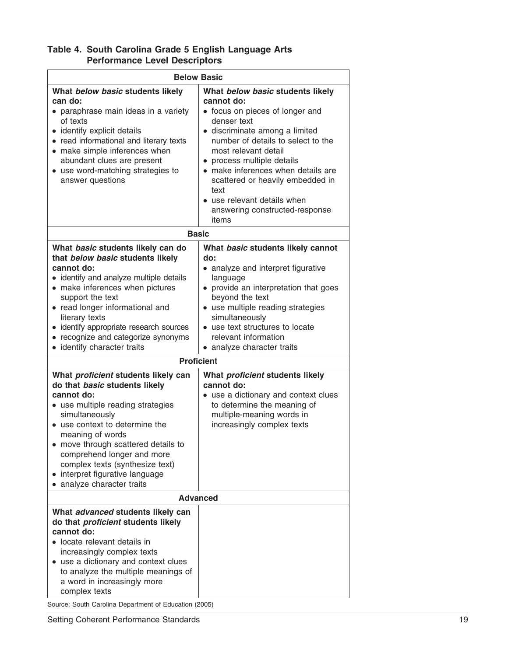| Table 4. South Carolina Grade 5 English Language Arts |  |
|-------------------------------------------------------|--|
| <b>Performance Level Descriptors</b>                  |  |

| <b>Below Basic</b>                                                                                                                                                                                                                                                                                                                                                   |                                                                                                                                                                                                                                                                                                                                                                                                       |
|----------------------------------------------------------------------------------------------------------------------------------------------------------------------------------------------------------------------------------------------------------------------------------------------------------------------------------------------------------------------|-------------------------------------------------------------------------------------------------------------------------------------------------------------------------------------------------------------------------------------------------------------------------------------------------------------------------------------------------------------------------------------------------------|
| What below basic students likely<br>can do:<br>• paraphrase main ideas in a variety<br>of texts<br>• identify explicit details<br>• read informational and literary texts<br>• make simple inferences when<br>abundant clues are present<br>• use word-matching strategies to<br>answer questions                                                                    | What below basic students likely<br>cannot do:<br>• focus on pieces of longer and<br>denser text<br>· discriminate among a limited<br>number of details to select to the<br>most relevant detail<br>• process multiple details<br>make inferences when details are<br>$\bullet$<br>scattered or heavily embedded in<br>text<br>• use relevant details when<br>answering constructed-response<br>items |
| <b>Basic</b>                                                                                                                                                                                                                                                                                                                                                         |                                                                                                                                                                                                                                                                                                                                                                                                       |
| What basic students likely can do<br>that below basic students likely<br>cannot do:<br>• identify and analyze multiple details<br>• make inferences when pictures<br>support the text<br>• read longer informational and<br>literary texts<br>identify appropriate research sources<br>recognize and categorize synonyms<br>identify character traits                | What basic students likely cannot<br>do:<br>• analyze and interpret figurative<br>language<br>• provide an interpretation that goes<br>beyond the text<br>• use multiple reading strategies<br>simultaneously<br>• use text structures to locate<br>relevant information<br>• analyze character traits                                                                                                |
| <b>Proficient</b>                                                                                                                                                                                                                                                                                                                                                    |                                                                                                                                                                                                                                                                                                                                                                                                       |
| What proficient students likely can<br>do that basic students likely<br>cannot do:<br>• use multiple reading strategies<br>simultaneously<br>• use context to determine the<br>meaning of words<br>• move through scattered details to<br>comprehend longer and more<br>complex texts (synthesize text)<br>interpret figurative language<br>analyze character traits | What proficient students likely<br>cannot do:<br>• use a dictionary and context clues<br>to determine the meaning of<br>multiple-meaning words in<br>increasingly complex texts                                                                                                                                                                                                                       |
| <b>Advanced</b>                                                                                                                                                                                                                                                                                                                                                      |                                                                                                                                                                                                                                                                                                                                                                                                       |
| What advanced students likely can<br>do that <i>proficient</i> students likely<br>cannot do:<br>• locate relevant details in<br>increasingly complex texts<br>use a dictionary and context clues<br>to analyze the multiple meanings of<br>a word in increasingly more<br>complex texts<br>Source: South Carolina Department of Education (2005)                     |                                                                                                                                                                                                                                                                                                                                                                                                       |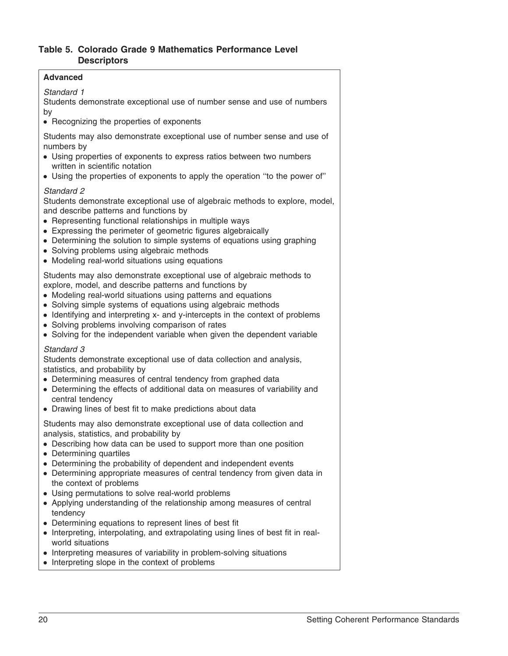## **Table 5. Colorado Grade 9 Mathematics Performance Level Descriptors**

#### **Advanced**

## *Standard 1*

Students demonstrate exceptional use of number sense and use of numbers by

• Recognizing the properties of exponents

Students may also demonstrate exceptional use of number sense and use of numbers by

- Using properties of exponents to express ratios between two numbers written in scientific notation
- Using the properties of exponents to apply the operation "to the power of"

#### *Standard 2*

Students demonstrate exceptional use of algebraic methods to explore, model, and describe patterns and functions by

- Representing functional relationships in multiple ways
- Expressing the perimeter of geometric figures algebraically
- Determining the solution to simple systems of equations using graphing
- Solving problems using algebraic methods
- Modeling real-world situations using equations

Students may also demonstrate exceptional use of algebraic methods to explore, model, and describe patterns and functions by

- Modeling real-world situations using patterns and equations
- Solving simple systems of equations using algebraic methods
- Identifying and interpreting x- and y-intercepts in the context of problems
- Solving problems involving comparison of rates
- Solving for the independent variable when given the dependent variable

#### *Standard 3*

Students demonstrate exceptional use of data collection and analysis, statistics, and probability by

- Determining measures of central tendency from graphed data
- Determining the effects of additional data on measures of variability and central tendency
- Drawing lines of best fit to make predictions about data

Students may also demonstrate exceptional use of data collection and analysis, statistics, and probability by

- Describing how data can be used to support more than one position
- Determining quartiles
- Determining the probability of dependent and independent events
- Determining appropriate measures of central tendency from given data in the context of problems
- Using permutations to solve real-world problems
- Applying understanding of the relationship among measures of central tendency
- Determining equations to represent lines of best fit
- Interpreting, interpolating, and extrapolating using lines of best fit in realworld situations
- Interpreting measures of variability in problem-solving situations
- Interpreting slope in the context of problems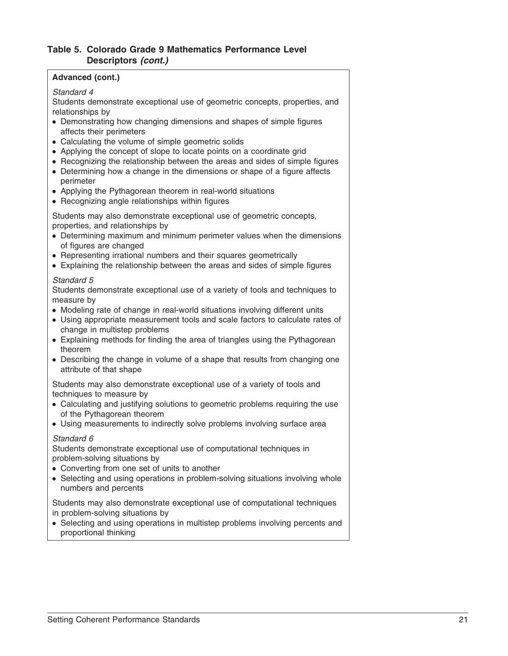#### **Table 5. Colorado Grade 9 Mathematics Performance Level Descriptors** *(cont.)*

#### **Advanced (cont.)**

#### *Standard 4*

Students demonstrate exceptional use of geometric concepts, properties, and relationships by

- Demonstrating how changing dimensions and shapes of simple figures affects their perimeters
- Calculating the volume of simple geometric solids
- Applying the concept of slope to locate points on a coordinate grid
- Recognizing the relationship between the areas and sides of simple figures
- Determining how a change in the dimensions or shape of a figure affects perimeter
- Applying the Pythagorean theorem in real-world situations
- Recognizing angle relationships within figures

Students may also demonstrate exceptional use of geometric concepts, properties, and relationships by

- Determining maximum and minimum perimeter values when the dimensions of figures are changed
- Representing irrational numbers and their squares geometrically
- Explaining the relationship between the areas and sides of simple figures

#### *Standard 5*

Students demonstrate exceptional use of a variety of tools and techniques to measure by

- Modeling rate of change in real-world situations involving different units
- Using appropriate measurement tools and scale factors to calculate rates of change in multistep problems
- Explaining methods for finding the area of triangles using the Pythagorean theorem
- Describing the change in volume of a shape that results from changing one attribute of that shape

Students may also demonstrate exceptional use of a variety of tools and techniques to measure by

- Calculating and justifying solutions to geometric problems requiring the use of the Pythagorean theorem
- Using measurements to indirectly solve problems involving surface area

#### *Standard 6*

Students demonstrate exceptional use of computational techniques in problem-solving situations by

- Converting from one set of units to another
- Selecting and using operations in problem-solving situations involving whole numbers and percents

Students may also demonstrate exceptional use of computational techniques in problem-solving situations by

• Selecting and using operations in multistep problems involving percents and proportional thinking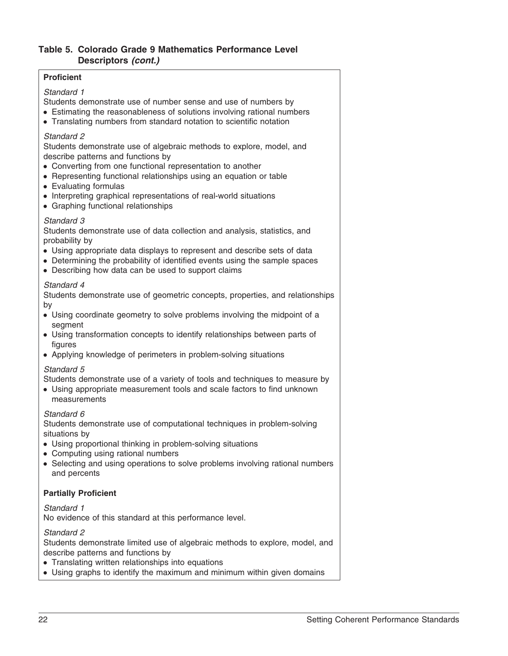## **Table 5. Colorado Grade 9 Mathematics Performance Level Descriptors** *(cont.)*

#### **Proficient**

#### *Standard 1*

Students demonstrate use of number sense and use of numbers by

- Estimating the reasonableness of solutions involving rational numbers
- Translating numbers from standard notation to scientific notation

#### *Standard 2*

Students demonstrate use of algebraic methods to explore, model, and describe patterns and functions by

- Converting from one functional representation to another
- Representing functional relationships using an equation or table
- Evaluating formulas
- Interpreting graphical representations of real-world situations
- Graphing functional relationships

#### *Standard 3*

Students demonstrate use of data collection and analysis, statistics, and probability by

- Using appropriate data displays to represent and describe sets of data
- Determining the probability of identified events using the sample spaces
- Describing how data can be used to support claims

#### *Standard 4*

Students demonstrate use of geometric concepts, properties, and relationships by

- Using coordinate geometry to solve problems involving the midpoint of a segment
- Using transformation concepts to identify relationships between parts of figures
- Applying knowledge of perimeters in problem-solving situations

#### *Standard 5*

Students demonstrate use of a variety of tools and techniques to measure by

● Using appropriate measurement tools and scale factors to find unknown measurements

#### *Standard 6*

Students demonstrate use of computational techniques in problem-solving situations by

- Using proportional thinking in problem-solving situations
- Computing using rational numbers
- Selecting and using operations to solve problems involving rational numbers and percents

#### **Partially Proficient**

#### *Standard 1*

No evidence of this standard at this performance level.

#### *Standard 2*

Students demonstrate limited use of algebraic methods to explore, model, and describe patterns and functions by

- Translating written relationships into equations
- Using graphs to identify the maximum and minimum within given domains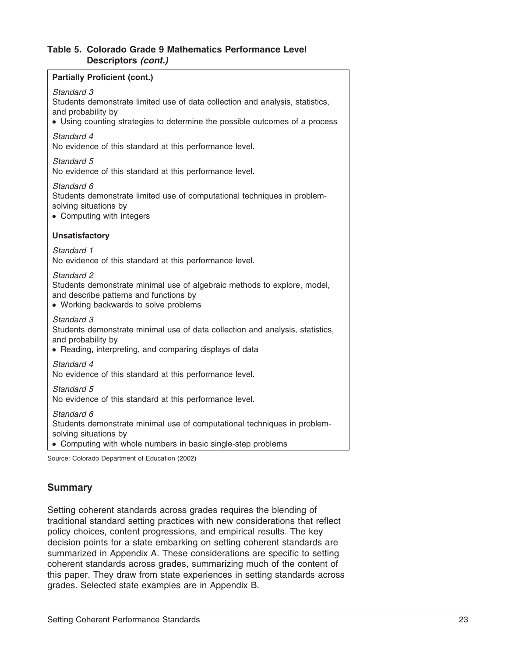#### **Table 5. Colorado Grade 9 Mathematics Performance Level Descriptors** *(cont.)*

## **Partially Proficient (cont.)** *Standard 3* Students demonstrate limited use of data collection and analysis, statistics, and probability by • Using counting strategies to determine the possible outcomes of a process *Standard 4* No evidence of this standard at this performance level. *Standard 5* No evidence of this standard at this performance level. *Standard 6* Students demonstrate limited use of computational techniques in problemsolving situations by • Computing with integers **Unsatisfactory** *Standard 1* No evidence of this standard at this performance level. *Standard 2* Students demonstrate minimal use of algebraic methods to explore, model, and describe patterns and functions by ● Working backwards to solve problems *Standard 3* Students demonstrate minimal use of data collection and analysis, statistics, and probability by • Reading, interpreting, and comparing displays of data *Standard 4* No evidence of this standard at this performance level. *Standard 5* No evidence of this standard at this performance level. *Standard 6* Students demonstrate minimal use of computational techniques in problemsolving situations by • Computing with whole numbers in basic single-step problems

Source: Colorado Department of Education (2002)

## **Summary**

Setting coherent standards across grades requires the blending of traditional standard setting practices with new considerations that reflect policy choices, content progressions, and empirical results. The key decision points for a state embarking on setting coherent standards are summarized in Appendix A. These considerations are specific to setting coherent standards across grades, summarizing much of the content of this paper. They draw from state experiences in setting standards across grades. Selected state examples are in Appendix B.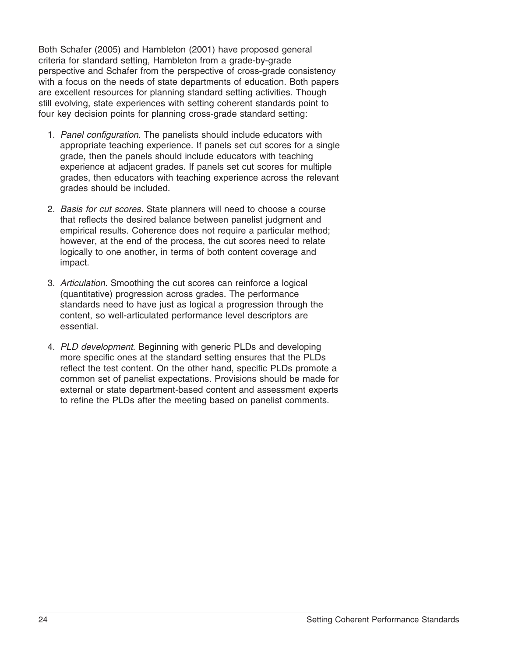Both Schafer (2005) and Hambleton (2001) have proposed general criteria for standard setting, Hambleton from a grade-by-grade perspective and Schafer from the perspective of cross-grade consistency with a focus on the needs of state departments of education. Both papers are excellent resources for planning standard setting activities. Though still evolving, state experiences with setting coherent standards point to four key decision points for planning cross-grade standard setting:

- 1. *Panel configuration.* The panelists should include educators with appropriate teaching experience. If panels set cut scores for a single grade, then the panels should include educators with teaching experience at adjacent grades. If panels set cut scores for multiple grades, then educators with teaching experience across the relevant grades should be included.
- 2. *Basis for cut scores.* State planners will need to choose a course that reflects the desired balance between panelist judgment and empirical results. Coherence does not require a particular method; however, at the end of the process, the cut scores need to relate logically to one another, in terms of both content coverage and impact.
- 3. *Articulation.* Smoothing the cut scores can reinforce a logical (quantitative) progression across grades. The performance standards need to have just as logical a progression through the content, so well-articulated performance level descriptors are essential.
- 4. *PLD development.* Beginning with generic PLDs and developing more specific ones at the standard setting ensures that the PLDs reflect the test content. On the other hand, specific PLDs promote a common set of panelist expectations. Provisions should be made for external or state department-based content and assessment experts to refine the PLDs after the meeting based on panelist comments.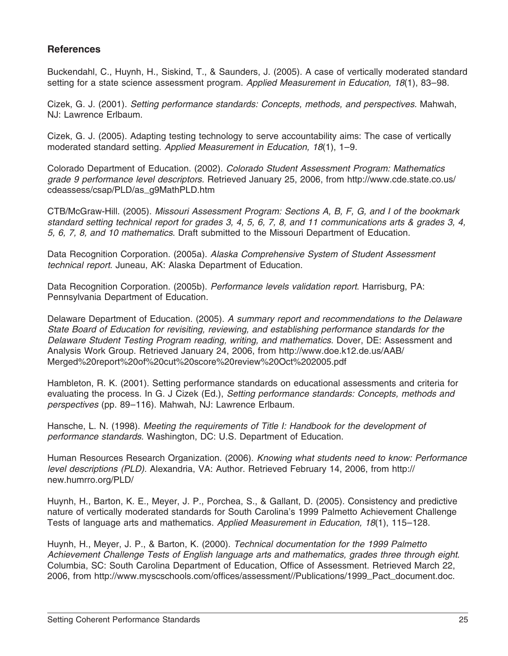## **References**

Buckendahl, C., Huynh, H., Siskind, T., & Saunders, J. (2005). A case of vertically moderated standard setting for a state science assessment program. *Applied Measurement in Education, 18*(1), 83–98.

Cizek, G. J. (2001). *Setting performance standards: Concepts, methods, and perspectives.* Mahwah, NJ: Lawrence Erlbaum.

Cizek, G. J. (2005). Adapting testing technology to serve accountability aims: The case of vertically moderated standard setting. *Applied Measurement in Education, 18*(1), 1–9.

Colorado Department of Education. (2002). *Colorado Student Assessment Program: Mathematics grade 9 performance level descriptors*. Retrieved January 25, 2006, from http://www.cde.state.co.us/ cdeassess/csap/PLD/as\_q9MathPLD.htm

CTB/McGraw-Hill. (2005). *Missouri Assessment Program: Sections A, B, F, G, and I of the bookmark standard setting technical report for grades 3, 4, 5, 6, 7, 8, and 11 communications arts & grades 3, 4, 5, 6, 7, 8, and 10 mathematics*. Draft submitted to the Missouri Department of Education.

Data Recognition Corporation. (2005a). *Alaska Comprehensive System of Student Assessment technical report*. Juneau, AK: Alaska Department of Education.

Data Recognition Corporation. (2005b). *Performance levels validation report*. Harrisburg, PA: Pennsylvania Department of Education.

Delaware Department of Education. (2005). *A summary report and recommendations to the Delaware State Board of Education for revisiting, reviewing, and establishing performance standards for the Delaware Student Testing Program reading, writing, and mathematics*. Dover, DE: Assessment and Analysis Work Group. Retrieved January 24, 2006, from http://www.doe.k12.de.us/AAB/ Merged%20report%20of%20cut%20score%20review%20Oct%202005.pdf

Hambleton, R. K. (2001). Setting performance standards on educational assessments and criteria for evaluating the process. In G. J Cizek (Ed.), *Setting performance standards: Concepts, methods and perspectives* (pp. 89–116). Mahwah, NJ: Lawrence Erlbaum.

Hansche, L. N. (1998). *Meeting the requirements of Title I: Handbook for the development of performance standards.* Washington, DC: U.S. Department of Education.

Human Resources Research Organization. (2006). *Knowing what students need to know: Performance level descriptions (PLD).* Alexandria, VA: Author. Retrieved February 14, 2006, from http:// new.humrro.org/PLD/

Huynh, H., Barton, K. E., Meyer, J. P., Porchea, S., & Gallant, D. (2005). Consistency and predictive nature of vertically moderated standards for South Carolina's 1999 Palmetto Achievement Challenge Tests of language arts and mathematics. *Applied Measurement in Education, 18*(1), 115–128.

Huynh, H., Meyer, J. P., & Barton, K. (2000). *Technical documentation for the 1999 Palmetto Achievement Challenge Tests of English language arts and mathematics, grades three through eight*. Columbia, SC: South Carolina Department of Education, Office of Assessment. Retrieved March 22, 2006, from http://www.myscschools.com/offices/assessment//Publications/1999\_Pact\_document.doc.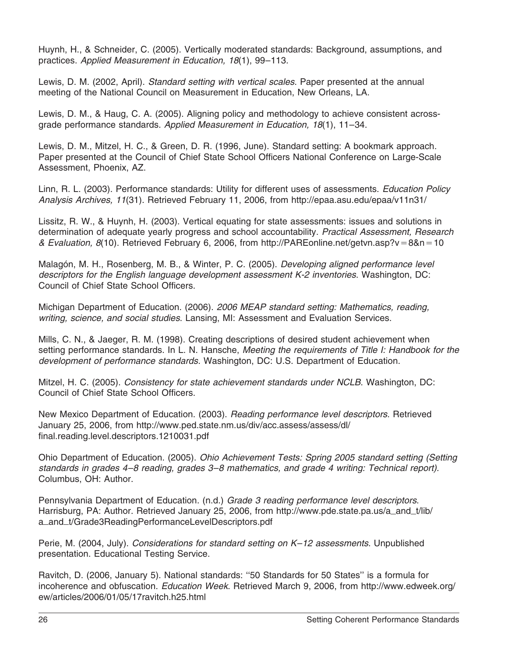Huynh, H., & Schneider, C. (2005). Vertically moderated standards: Background, assumptions, and practices. *Applied Measurement in Education, 18*(1), 99–113.

Lewis, D. M. (2002, April). *Standard setting with vertical scales*. Paper presented at the annual meeting of the National Council on Measurement in Education, New Orleans, LA.

Lewis, D. M., & Haug, C. A. (2005). Aligning policy and methodology to achieve consistent acrossgrade performance standards. *Applied Measurement in Education, 18*(1), 11–34.

Lewis, D. M., Mitzel, H. C., & Green, D. R. (1996, June). Standard setting: A bookmark approach. Paper presented at the Council of Chief State School Officers National Conference on Large-Scale Assessment, Phoenix, AZ.

Linn, R. L. (2003). Performance standards: Utility for different uses of assessments. *Education Policy Analysis Archives, 11*(31). Retrieved February 11, 2006, from http://epaa.asu.edu/epaa/v11n31/

Lissitz, R. W., & Huynh, H. (2003). Vertical equating for state assessments: issues and solutions in determination of adequate yearly progress and school accountability. *Practical Assessment, Research & Evaluation, 8*(10). Retrieved February 6, 2006, from http://PAREonline.net/getvn.asp?v=8&n=10

Malagón, M. H., Rosenberg, M. B., & Winter, P. C. (2005). *Developing aligned performance level descriptors for the English language development assessment K-2 inventories*. Washington, DC: Council of Chief State School Officers.

Michigan Department of Education. (2006). *2006 MEAP standard setting: Mathematics, reading, writing, science, and social studies*. Lansing, MI: Assessment and Evaluation Services.

Mills, C. N., & Jaeger, R. M. (1998). Creating descriptions of desired student achievement when setting performance standards. In L. N. Hansche, *Meeting the requirements of Title I: Handbook for the development of performance standards.* Washington, DC: U.S. Department of Education.

Mitzel, H. C. (2005). *Consistency for state achievement standards under NCLB*. Washington, DC: Council of Chief State School Officers.

New Mexico Department of Education. (2003). *Reading performance level descriptors*. Retrieved January 25, 2006, from http://www.ped.state.nm.us/div/acc.assess/assess/dl/ final.reading.level.descriptors.1210031.pdf

Ohio Department of Education. (2005). *Ohio Achievement Tests: Spring 2005 standard setting (Setting standards in grades 4–8 reading, grades 3–8 mathematics, and grade 4 writing: Technical report).* Columbus, OH: Author.

Pennsylvania Department of Education. (n.d.) *Grade 3 reading performance level descriptors*. Harrisburg, PA: Author. Retrieved January 25, 2006, from http://www.pde.state.pa.us/a\_and\_t/lib/ a\_and\_t/Grade3ReadingPerformanceLevelDescriptors.pdf

Perie, M. (2004, July). *Considerations for standard setting on K–12 assessments*. Unpublished presentation. Educational Testing Service.

Ravitch, D. (2006, January 5). National standards: ''50 Standards for 50 States'' is a formula for incoherence and obfuscation. *Education Week*. Retrieved March 9, 2006, from http://www.edweek.org/ ew/articles/2006/01/05/17ravitch.h25.html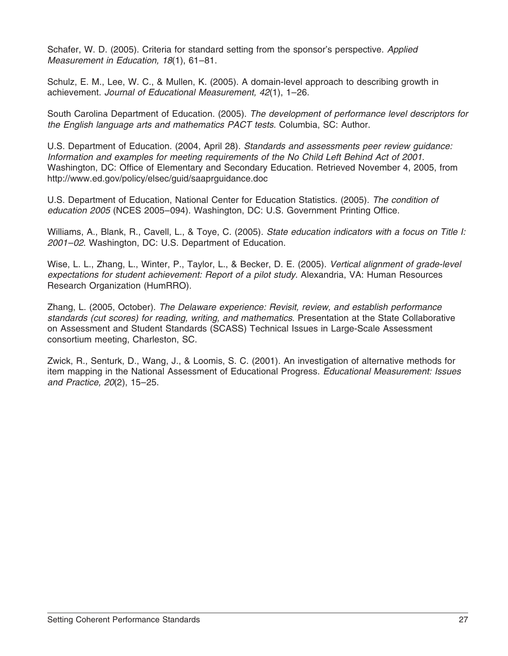Schafer, W. D. (2005). Criteria for standard setting from the sponsor's perspective. *Applied Measurement in Education, 18*(1), 61–81.

Schulz, E. M., Lee, W. C., & Mullen, K. (2005). A domain-level approach to describing growth in achievement. *Journal of Educational Measurement, 42*(1), 1–26.

South Carolina Department of Education. (2005). *The development of performance level descriptors for the English language arts and mathematics PACT tests*. Columbia, SC: Author.

U.S. Department of Education. (2004, April 28)*. Standards and assessments peer review guidance: Information and examples for meeting requirements of the No Child Left Behind Act of 2001*. Washington, DC: Office of Elementary and Secondary Education. Retrieved November 4, 2005, from http://www.ed.gov/policy/elsec/guid/saaprguidance.doc

U.S. Department of Education, National Center for Education Statistics. (2005). *The condition of education 2005* (NCES 2005–094). Washington, DC: U.S. Government Printing Office.

Williams, A., Blank, R., Cavell, L., & Toye, C. (2005). *State education indicators with a focus on Title I: 2001–02*. Washington, DC: U.S. Department of Education.

Wise, L. L., Zhang, L., Winter, P., Taylor, L., & Becker, D. E. (2005). *Vertical alignment of grade-level expectations for student achievement: Report of a pilot study.* Alexandria, VA: Human Resources Research Organization (HumRRO).

Zhang, L. (2005, October). *The Delaware experience: Revisit, review, and establish performance standards (cut scores) for reading, writing, and mathematics*. Presentation at the State Collaborative on Assessment and Student Standards (SCASS) Technical Issues in Large-Scale Assessment consortium meeting, Charleston, SC.

Zwick, R., Senturk, D., Wang, J., & Loomis, S. C. (2001). An investigation of alternative methods for item mapping in the National Assessment of Educational Progress. *Educational Measurement: Issues and Practice, 20*(2), 15–25.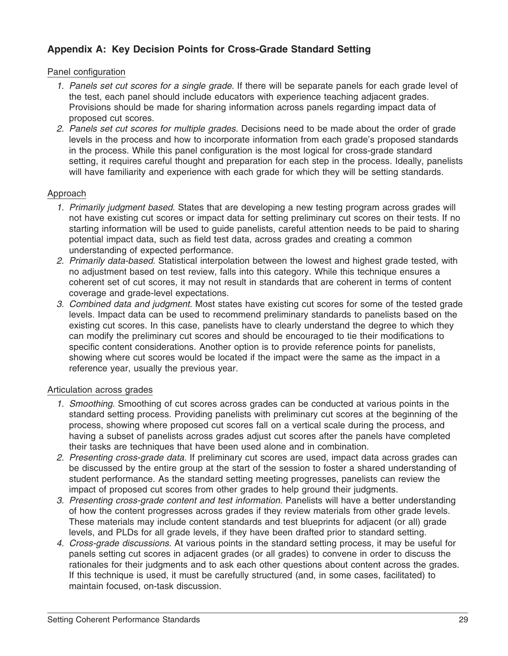## **Appendix A: Key Decision Points for Cross-Grade Standard Setting**

#### Panel configuration

- *1. Panels set cut scores for a single grade.* If there will be separate panels for each grade level of the test, each panel should include educators with experience teaching adjacent grades. Provisions should be made for sharing information across panels regarding impact data of proposed cut scores.
- *2. Panels set cut scores for multiple grades.* Decisions need to be made about the order of grade levels in the process and how to incorporate information from each grade's proposed standards in the process. While this panel configuration is the most logical for cross-grade standard setting, it requires careful thought and preparation for each step in the process. Ideally, panelists will have familiarity and experience with each grade for which they will be setting standards.

#### Approach

- *1. Primarily judgment based.* States that are developing a new testing program across grades will not have existing cut scores or impact data for setting preliminary cut scores on their tests. If no starting information will be used to guide panelists, careful attention needs to be paid to sharing potential impact data, such as field test data, across grades and creating a common understanding of expected performance.
- *2. Primarily data-based.* Statistical interpolation between the lowest and highest grade tested, with no adjustment based on test review, falls into this category. While this technique ensures a coherent set of cut scores, it may not result in standards that are coherent in terms of content coverage and grade-level expectations.
- *3. Combined data and judgment.* Most states have existing cut scores for some of the tested grade levels. Impact data can be used to recommend preliminary standards to panelists based on the existing cut scores. In this case, panelists have to clearly understand the degree to which they can modify the preliminary cut scores and should be encouraged to tie their modifications to specific content considerations. Another option is to provide reference points for panelists, showing where cut scores would be located if the impact were the same as the impact in a reference year, usually the previous year.

#### Articulation across grades

- *1. Smoothing.* Smoothing of cut scores across grades can be conducted at various points in the standard setting process. Providing panelists with preliminary cut scores at the beginning of the process, showing where proposed cut scores fall on a vertical scale during the process, and having a subset of panelists across grades adjust cut scores after the panels have completed their tasks are techniques that have been used alone and in combination.
- *2. Presenting cross-grade data.* If preliminary cut scores are used, impact data across grades can be discussed by the entire group at the start of the session to foster a shared understanding of student performance. As the standard setting meeting progresses, panelists can review the impact of proposed cut scores from other grades to help ground their judgments.
- *3. Presenting cross-grade content and test information.* Panelists will have a better understanding of how the content progresses across grades if they review materials from other grade levels. These materials may include content standards and test blueprints for adjacent (or all) grade levels, and PLDs for all grade levels, if they have been drafted prior to standard setting.
- *4. Cross-grade discussions.* At various points in the standard setting process, it may be useful for panels setting cut scores in adjacent grades (or all grades) to convene in order to discuss the rationales for their judgments and to ask each other questions about content across the grades. If this technique is used, it must be carefully structured (and, in some cases, facilitated) to maintain focused, on-task discussion.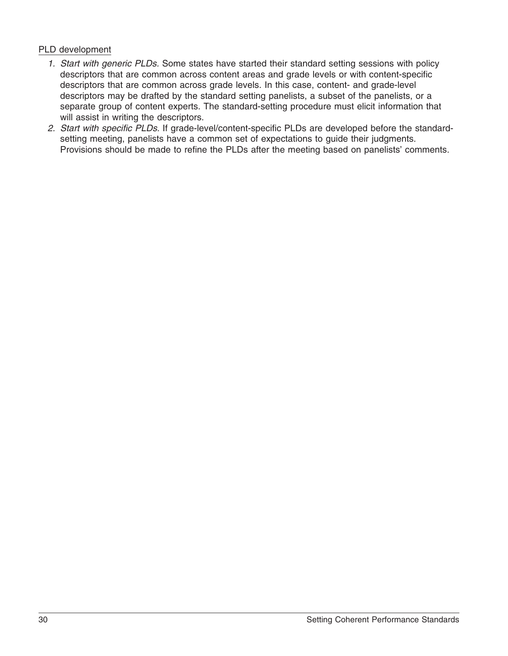## PLD development

- *1. Start with generic PLDs.* Some states have started their standard setting sessions with policy descriptors that are common across content areas and grade levels or with content-specific descriptors that are common across grade levels. In this case, content- and grade-level descriptors may be drafted by the standard setting panelists, a subset of the panelists, or a separate group of content experts. The standard-setting procedure must elicit information that will assist in writing the descriptors.
- *2. Start with specific PLDs.* If grade-level/content-specific PLDs are developed before the standardsetting meeting, panelists have a common set of expectations to guide their judgments. Provisions should be made to refine the PLDs after the meeting based on panelists' comments.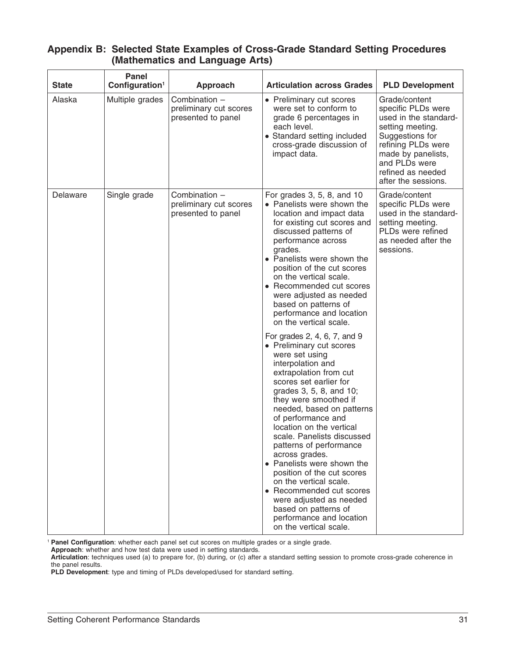| <b>State</b> | Panel<br>Configuration <sup>1</sup> | <b>Approach</b>                                               | <b>Articulation across Grades</b>                                                                                                                                                                                                                                                                                                                                                                                                                                                                                                                                                                                                                                                                                                                                                                                                                                                                                                                                                                        | <b>PLD Development</b>                                                                                                                                                                                       |
|--------------|-------------------------------------|---------------------------------------------------------------|----------------------------------------------------------------------------------------------------------------------------------------------------------------------------------------------------------------------------------------------------------------------------------------------------------------------------------------------------------------------------------------------------------------------------------------------------------------------------------------------------------------------------------------------------------------------------------------------------------------------------------------------------------------------------------------------------------------------------------------------------------------------------------------------------------------------------------------------------------------------------------------------------------------------------------------------------------------------------------------------------------|--------------------------------------------------------------------------------------------------------------------------------------------------------------------------------------------------------------|
| Alaska       | Multiple grades                     | Combination -<br>preliminary cut scores<br>presented to panel | • Preliminary cut scores<br>were set to conform to<br>grade 6 percentages in<br>each level.<br>• Standard setting included<br>cross-grade discussion of<br>impact data.                                                                                                                                                                                                                                                                                                                                                                                                                                                                                                                                                                                                                                                                                                                                                                                                                                  | Grade/content<br>specific PLDs were<br>used in the standard-<br>setting meeting.<br>Suggestions for<br>refining PLDs were<br>made by panelists,<br>and PLDs were<br>refined as needed<br>after the sessions. |
| Delaware     | Single grade                        | Combination -<br>preliminary cut scores<br>presented to panel | For grades 3, 5, 8, and 10<br>• Panelists were shown the<br>location and impact data<br>for existing cut scores and<br>discussed patterns of<br>performance across<br>grades.<br>• Panelists were shown the<br>position of the cut scores<br>on the vertical scale.<br>• Recommended cut scores<br>were adjusted as needed<br>based on patterns of<br>performance and location<br>on the vertical scale.<br>For grades 2, 4, 6, 7, and 9<br>• Preliminary cut scores<br>were set using<br>interpolation and<br>extrapolation from cut<br>scores set earlier for<br>grades 3, 5, 8, and 10;<br>they were smoothed if<br>needed, based on patterns<br>of performance and<br>location on the vertical<br>scale. Panelists discussed<br>patterns of performance<br>across grades.<br>• Panelists were shown the<br>position of the cut scores<br>on the vertical scale.<br>• Recommended cut scores<br>were adjusted as needed<br>based on patterns of<br>performance and location<br>on the vertical scale. | Grade/content<br>specific PLDs were<br>used in the standard-<br>setting meeting.<br>PLDs were refined<br>as needed after the<br>sessions.                                                                    |

## **Appendix B: Selected State Examples of Cross-Grade Standard Setting Procedures (Mathematics and Language Arts)**

<sup>1</sup> **Panel Configuration**: whether each panel set cut scores on multiple grades or a single grade.

**Approach**: whether and how test data were used in setting standards.

**Articulation**: techniques used (a) to prepare for, (b) during, or (c) after a standard setting session to promote cross-grade coherence in the panel results.

**PLD Development**: type and timing of PLDs developed/used for standard setting.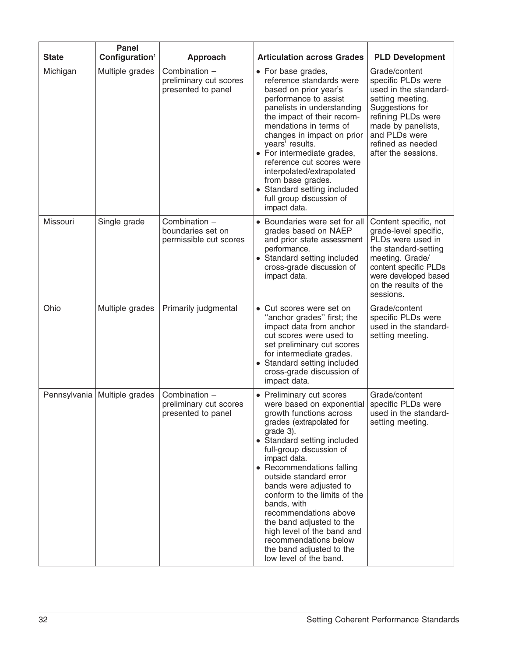| <b>State</b> | <b>Panel</b><br>Configuration <sup>1</sup> | Approach                                                      | <b>Articulation across Grades</b>                                                                                                                                                                                                                                                                                                                                                                                                                                                                      | <b>PLD Development</b>                                                                                                                                                                                       |
|--------------|--------------------------------------------|---------------------------------------------------------------|--------------------------------------------------------------------------------------------------------------------------------------------------------------------------------------------------------------------------------------------------------------------------------------------------------------------------------------------------------------------------------------------------------------------------------------------------------------------------------------------------------|--------------------------------------------------------------------------------------------------------------------------------------------------------------------------------------------------------------|
| Michigan     | Multiple grades                            | Combination -<br>preliminary cut scores<br>presented to panel | • For base grades,<br>reference standards were<br>based on prior year's<br>performance to assist<br>panelists in understanding<br>the impact of their recom-<br>mendations in terms of<br>changes in impact on prior<br>years' results.<br>• For intermediate grades,<br>reference cut scores were<br>interpolated/extrapolated<br>from base grades.<br>• Standard setting included<br>full group discussion of<br>impact data.                                                                        | Grade/content<br>specific PLDs were<br>used in the standard-<br>setting meeting.<br>Suggestions for<br>refining PLDs were<br>made by panelists,<br>and PLDs were<br>refined as needed<br>after the sessions. |
| Missouri     | Single grade                               | Combination -<br>boundaries set on<br>permissible cut scores  | Boundaries were set for all<br>grades based on NAEP<br>and prior state assessment<br>performance.<br>• Standard setting included<br>cross-grade discussion of<br>impact data.                                                                                                                                                                                                                                                                                                                          | Content specific, not<br>grade-level specific,<br>PLDs were used in<br>the standard-setting<br>meeting. Grade/<br>content specific PLDs<br>were developed based<br>on the results of the<br>sessions.        |
| Ohio         | Multiple grades                            | Primarily judgmental                                          | Cut scores were set on<br>$\bullet$<br>"anchor grades" first; the<br>impact data from anchor<br>cut scores were used to<br>set preliminary cut scores<br>for intermediate grades.<br>• Standard setting included<br>cross-grade discussion of<br>impact data.                                                                                                                                                                                                                                          | Grade/content<br>specific PLDs were<br>used in the standard-<br>setting meeting.                                                                                                                             |
|              | Pennsylvania   Multiple grades             | Combination -<br>preliminary cut scores<br>presented to panel | • Preliminary cut scores<br>were based on exponential<br>growth functions across<br>grades (extrapolated for<br>grade 3).<br>• Standard setting included<br>full-group discussion of<br>impact data.<br>• Recommendations falling<br>outside standard error<br>bands were adjusted to<br>conform to the limits of the<br>bands, with<br>recommendations above<br>the band adjusted to the<br>high level of the band and<br>recommendations below<br>the band adjusted to the<br>low level of the band. | Grade/content<br>specific PLDs were<br>used in the standard-<br>setting meeting.                                                                                                                             |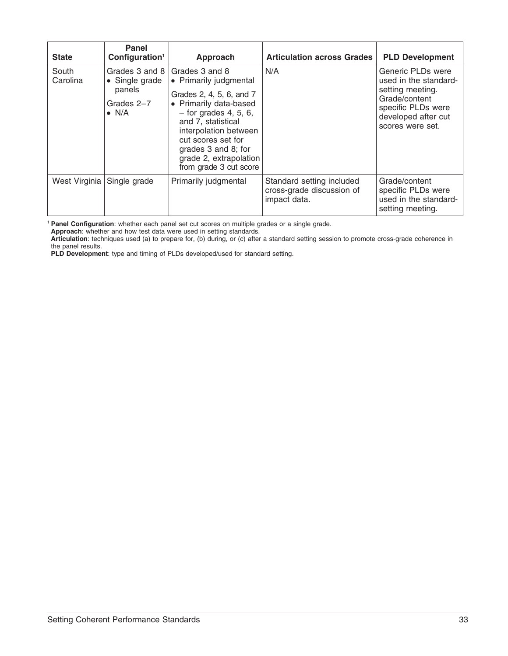| <b>State</b>      | Panel<br>Configuration <sup>1</sup>                                       | Approach                                                                                                                                                                                                                                                                  | <b>Articulation across Grades</b>                                      | <b>PLD Development</b>                                                                                                                           |
|-------------------|---------------------------------------------------------------------------|---------------------------------------------------------------------------------------------------------------------------------------------------------------------------------------------------------------------------------------------------------------------------|------------------------------------------------------------------------|--------------------------------------------------------------------------------------------------------------------------------------------------|
| South<br>Carolina | Grades 3 and 8<br>• Single grade<br>panels<br>Grades 2-7<br>$\bullet$ N/A | Grades 3 and 8<br>• Primarily judgmental<br>Grades 2, 4, 5, 6, and 7<br>• Primarily data-based<br>$-$ for grades 4, 5, 6,<br>and 7, statistical<br>interpolation between<br>cut scores set for<br>grades 3 and 8; for<br>grade 2, extrapolation<br>from grade 3 cut score | N/A                                                                    | Generic PLDs were<br>used in the standard-<br>setting meeting.<br>Grade/content<br>specific PLDs were<br>developed after cut<br>scores were set. |
| West Virginia     | Single grade                                                              | Primarily judgmental                                                                                                                                                                                                                                                      | Standard setting included<br>cross-grade discussion of<br>impact data. | Grade/content<br>specific PLDs were<br>used in the standard-<br>setting meeting.                                                                 |

<sup>1</sup> **Panel Configuration**: whether each panel set cut scores on multiple grades or a single grade.

**Approach**: whether and how test data were used in setting standards.

**PLD Development**: type and timing of PLDs developed/used for standard setting.

**Articulation**: techniques used (a) to prepare for, (b) during, or (c) after a standard setting session to promote cross-grade coherence in the panel results.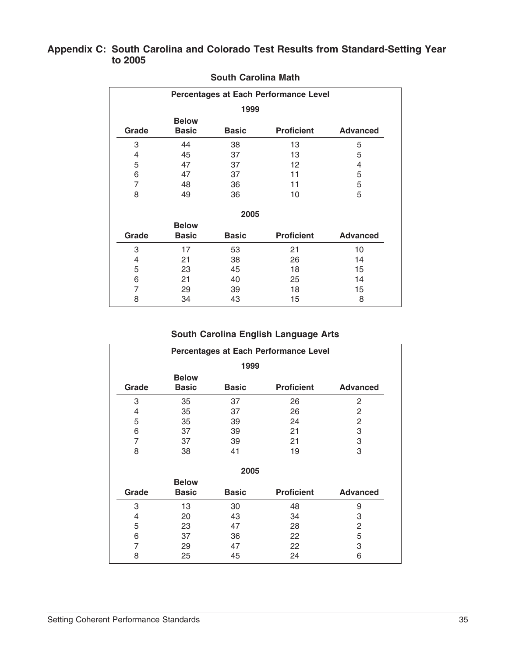## **Appendix C: South Carolina and Colorado Test Results from Standard-Setting Year to 2005**

| Percentages at Each Performance Level |              |              |                   |                 |  |  |
|---------------------------------------|--------------|--------------|-------------------|-----------------|--|--|
| 1999                                  |              |              |                   |                 |  |  |
| <b>Below</b>                          |              |              |                   |                 |  |  |
| Grade                                 | <b>Basic</b> | <b>Basic</b> | <b>Proficient</b> | <b>Advanced</b> |  |  |
| 3                                     | 44           | 38           | 13                | 5               |  |  |
| 4                                     | 45           | 37           | 13                | 5               |  |  |
| 5                                     | 47           | 37           | 12                | 4               |  |  |
| 6                                     | 47           | 37           | 11                | 5               |  |  |
| $\overline{7}$                        | 48           | 36<br>11     |                   | 5               |  |  |
| 8<br>49<br>36<br>10                   |              |              | 5                 |                 |  |  |
| 2005                                  |              |              |                   |                 |  |  |
|                                       | <b>Below</b> |              |                   |                 |  |  |
| Grade                                 | <b>Basic</b> | <b>Basic</b> | <b>Proficient</b> | <b>Advanced</b> |  |  |
| 3                                     | 17           | 53           | 21                | 10              |  |  |
| 4                                     | 21           | 38           | 26                | 14              |  |  |
| 5                                     | 23           | 45           | 18                | 15              |  |  |
| 6                                     | 21           | 40           | 25                | 14              |  |  |
| $\overline{7}$                        | 29           | 39           | 18                | 15              |  |  |
| 8                                     | 34           | 43           | 15                | 8               |  |  |

#### **South Carolina Math**

## **South Carolina English Language Arts**

| Percentages at Each Performance Level |              |              |                   |                 |  |  |
|---------------------------------------|--------------|--------------|-------------------|-----------------|--|--|
| 1999                                  |              |              |                   |                 |  |  |
| <b>Below</b>                          |              |              |                   |                 |  |  |
| Grade                                 | <b>Basic</b> | <b>Basic</b> | <b>Proficient</b> | <b>Advanced</b> |  |  |
| 3                                     | 35           | 37           | 26                | 2               |  |  |
| 4                                     | 35           | 37           | 26                | 2               |  |  |
| 5                                     | 35           | 39           | 24                | $\overline{c}$  |  |  |
| 6                                     | 37           | 39<br>21     |                   | 3               |  |  |
| $\overline{7}$                        | 37           | 39<br>21     |                   | 3               |  |  |
| 8<br>41<br>19<br>38                   |              | 3            |                   |                 |  |  |
| 2005                                  |              |              |                   |                 |  |  |
|                                       | <b>Below</b> |              |                   |                 |  |  |
| Grade                                 | <b>Basic</b> | <b>Basic</b> | <b>Proficient</b> | <b>Advanced</b> |  |  |
| 3                                     | 13           | 30           | 48                | 9               |  |  |
| 4                                     | 20           | 43           | 34                | 3               |  |  |
| 5                                     | 23           | 47           | 28                | 2               |  |  |
| 6                                     | 37           | 36           | 22                | 5               |  |  |
| 7                                     | 29           | 47           | 22                | 3               |  |  |
| 8                                     | 25           | 45           | 24                | 6               |  |  |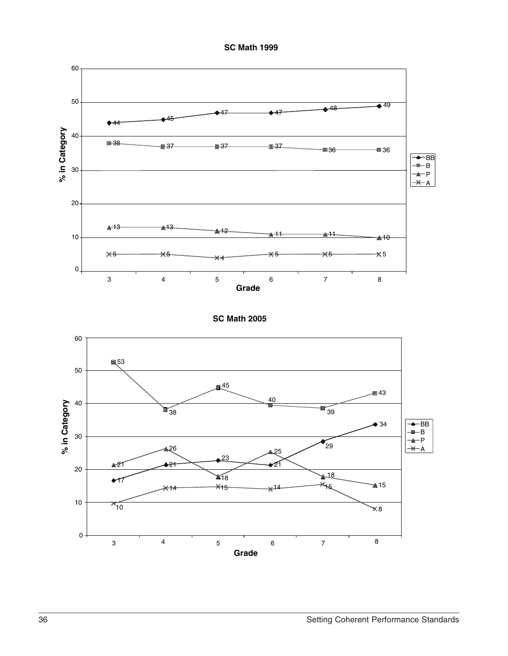



**SC Math 2005**

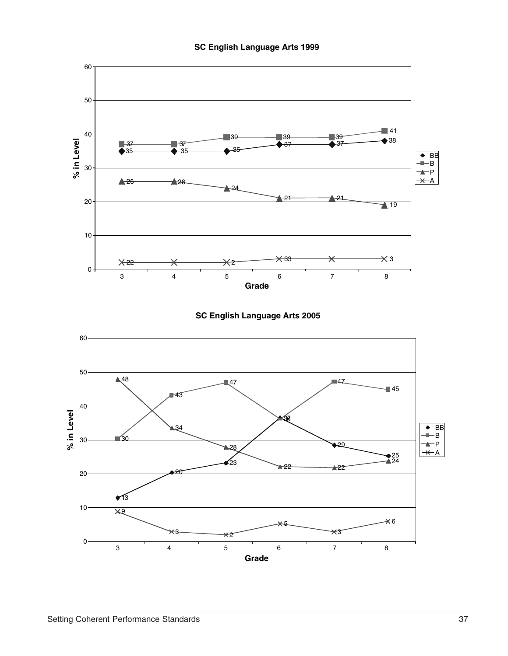





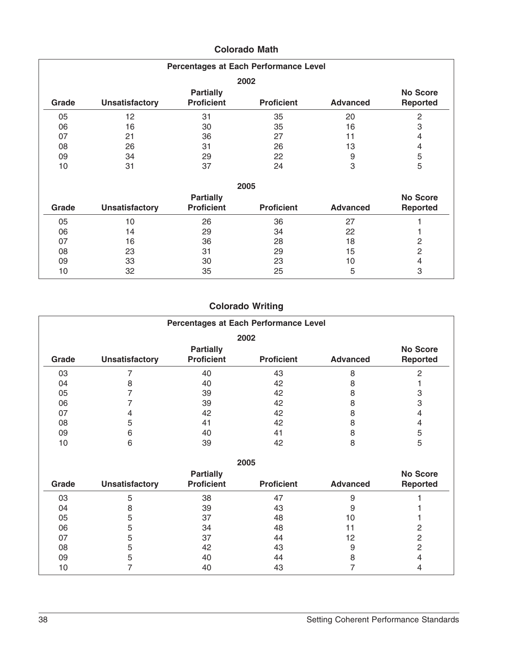| Percentages at Each Performance Level |                       |                                       |                   |                 |                                    |  |  |
|---------------------------------------|-----------------------|---------------------------------------|-------------------|-----------------|------------------------------------|--|--|
| 2002                                  |                       |                                       |                   |                 |                                    |  |  |
| Grade                                 | <b>Unsatisfactory</b> | <b>Partially</b><br><b>Proficient</b> | <b>Proficient</b> | <b>Advanced</b> | <b>No Score</b><br><b>Reported</b> |  |  |
| 05                                    | 12                    | 31                                    | 35                | 20              | $\overline{c}$                     |  |  |
| 06                                    | 16                    | 30                                    | 35                | 16              | 3                                  |  |  |
| 07                                    | 21                    | 36                                    | 27                | 11              | 4                                  |  |  |
| 08                                    | 26                    | 31                                    | 26                | 13              | 4                                  |  |  |
| 09                                    | 34                    | 29                                    | 22                | 9               | 5                                  |  |  |
| 10                                    | 31                    | 37                                    | 24                | 3               | 5                                  |  |  |
|                                       |                       |                                       | 2005              |                 |                                    |  |  |
|                                       |                       | <b>Partially</b>                      |                   |                 | <b>No Score</b>                    |  |  |
| Grade                                 | <b>Unsatisfactory</b> | <b>Proficient</b>                     | <b>Proficient</b> | <b>Advanced</b> | <b>Reported</b>                    |  |  |
| 05                                    | 10                    | 26                                    | 36                | 27              |                                    |  |  |
| 06                                    | 14                    | 29                                    | 34                | 22              |                                    |  |  |
| 07                                    | 16                    | 36                                    | 28                | 18              | 2                                  |  |  |
| 08                                    | 23                    | 31                                    | 29                | 15              | $\overline{c}$                     |  |  |
| 09                                    | 33                    | 30                                    | 23                | 10              | 4                                  |  |  |
| 10                                    | 32                    | 35                                    | 25                | 5               | 3                                  |  |  |

## **Colorado Math**

## **Colorado Writing**

| Percentages at Each Performance Level |                       |                                       |                   |                 |                                    |  |  |  |  |  |
|---------------------------------------|-----------------------|---------------------------------------|-------------------|-----------------|------------------------------------|--|--|--|--|--|
| 2002                                  |                       |                                       |                   |                 |                                    |  |  |  |  |  |
| Grade                                 | <b>Unsatisfactory</b> | <b>Partially</b><br><b>Proficient</b> | <b>Proficient</b> | <b>Advanced</b> | <b>No Score</b><br><b>Reported</b> |  |  |  |  |  |
| 03                                    |                       | 40                                    | 43                | 8               | $\overline{2}$                     |  |  |  |  |  |
| 04                                    | 8                     | 40                                    | 42                | 8               |                                    |  |  |  |  |  |
| 05                                    | 7                     | 39                                    | 42                | 8               | 3                                  |  |  |  |  |  |
| 06                                    |                       | 39                                    | 42                | 8               | 3                                  |  |  |  |  |  |
| 07                                    | 4                     | 42                                    | 42                | 8               | $\overline{4}$                     |  |  |  |  |  |
| 08                                    | 5                     | 41                                    | 42                | 8               | 4                                  |  |  |  |  |  |
| 09                                    | 6                     | 40                                    | 41                | 8               | 5                                  |  |  |  |  |  |
| 10                                    | 6                     | 39                                    | 42                | 8               | 5                                  |  |  |  |  |  |
|                                       |                       |                                       | 2005              |                 |                                    |  |  |  |  |  |
| Grade                                 | <b>Unsatisfactory</b> | <b>Partially</b><br><b>Proficient</b> | <b>Proficient</b> | <b>Advanced</b> | <b>No Score</b><br><b>Reported</b> |  |  |  |  |  |
| ΩΩ                                    | ᄃ                     | 2Q                                    | 17                | $\Omega$        |                                    |  |  |  |  |  |

| Grade |                       | <b>Proficient</b> | <b>Proficient</b> | <b>Advanced</b> | .<br>Reported |
|-------|-----------------------|-------------------|-------------------|-----------------|---------------|
|       | <b>Unsatisfactory</b> |                   |                   |                 |               |
| 03    |                       | 38                | 47                |                 |               |
| 04    |                       | 39                | 43                |                 |               |
| 05    |                       | 37                | 48                | 1 O             |               |
| 06    |                       | 34                | 48                |                 |               |
| 07    |                       | 37                | 44                | 12              |               |
| 08    |                       | 42                | 43                |                 |               |
| 09    |                       | 40                | 44                |                 |               |
| 10    |                       | 40                | 43                |                 |               |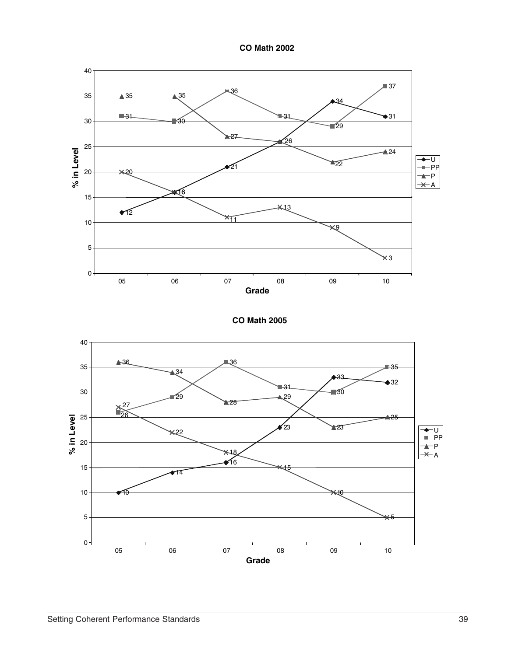**CO Math 2002**



**CO Math 2005**